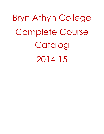Bryn Athyn College Complete Course Catalog 2014-15

1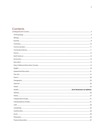# Contents<br>
Undergraduate C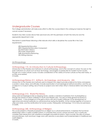# <span id="page-3-0"></span>Undergraduate Courses

The College administration will make every effort to offer the courses listed in this catalog but reserves the right to cancel courses if necessary.

Students may take courses above their year level only with the permission of both the instructor and the appropriate department chair.

Descriptors in parentheses following a title indicate which skills or disciplines the course fills in the Core requirements:

(EE) Experiential Education (EEC) Experiential Education Component (IL) Information Literacy (PP) Public Presentation (QR) Quantitative Reasoning (W) Writing Intensive

# <span id="page-3-1"></span>Anthropology

# Anthropology 110. An Introduction to Cultural Anthropology.

Introduction to the theories and methods of cultural anthropology, and to the concept of culture. Focuses on the basic institutions of culture such as ritual, technology, and progress as predicates for modern human society. Though not a world cultures course, includes consideration of the variety of human cultures as they exist today, or as they once existed.

3 Credits.

# Anthropology/History 211. Artifacts, Archaeology, and Museums. (W)

Introduction to the theories and methods used to interpret how objects provide evidence for history and express a society's values, ideas, and attitudes. Includes examination of archaeological method and ethics, and the use of objects in a museum setting. Use of hands-on projects and visits to Bryn Athyn's historical district and other local sites.

3 Credits.

# Anthropology 213. World Pre-History.

Using world archaeological sites as stepping stones, creates a narrative of prehistory from Australopithecus through the advent of urban civilization in South and Western Asia. Focuses on three general revolutions in human history: 1) the emergence of the genus Homo with all its modern attributes; 2) the development of agriculture and animal husbandry as cultural practices during the Neolithic; 3) the coming together of humans in cities and states, and the ramifications for human society. Prerequisite: Anthropology 110 or instructor permission. 3 Credits.

# Anthropology 240. Anthropology of Religion.

This course presents a theoretical perspective on religion as a cultural phenomenon. It explores the functional relationships within a variety of belief systems. It compares them across cultures and time, and, in particular, considers their intersections with subsistence strategies and political systems. Topics include: the roles of symbols and practitioners, myth and ritual, magic and cultic practice, & secularism and fundamentalism in traditional and world religions.

3 Credits.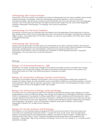# Anthropology 260. Human Evolution.

Introduction to human evolution and evidence of physical anthropology from the various subfields. Areas include paleoanthropology, primatology, molecular anthropology (population genetics), and to some extent evolutionary biology. Specific issues covered include the primate roots of human behavior, brain and language evolution, new and classic fossil hominids, the origin of anatomically modern humans, and human biogenetic variations. Prerequisite: Anthropology 110 or Biology 122 or instructor permission. 3 Credits.

#### Anthropology 315. The Indus Civilization

This seminar course focuses on northwest India and Pakistan from the beginnings of food production to the Iron Age. Explores what is known from archaeology about the cultural history of the region, including the architecture, religion, pottery, and writing system of the Indus Civilization, as well as its trade relations with other urban centers of the greater Near East.

3 Credits.

#### Anthropology 320. Genocide.

Seminar course on genocides in the 20th century. Focuses primarily on the cases of Ottoman Armenia, The Holocaust, and Rwanda. Through primary and secondary literature, examines the cultural context, historical background and legal frameworks, denialist projects, and memorializations. Political and psychological ramifications in the descendant communities of victims and victimizers are considered, as well as reparation processes. Prerequisite: Anthropology 110 or any history class, or instructor permission. 3 Credits.

#### <span id="page-4-0"></span>Biology

#### Biology 110. Environmental Science. (QR)

Geared for non-majors. Includes basic biological and chemical principles as well as concepts from ecology, earth science, and conservation biology. Discussion of the impact of industrial society on the quality of our environment (land, air, water, and natural ecosystems). Laboratory included. 4 Credits.

# Biology 122. Introduction to Biology: Genetics and Evolution.

Introduction to principles of genetics and evolution; one of a two-course gateway series that is required for prospective biology majors. Includes Mendelian and non-Mendelian inheritance, quantitative genetics, evolution, natural selection, genetic drift, kin selection, speciation, molecular evolution, and phylogenetic analysis. Course concludes with a survey of the Kingdoms of life. Lab included. 4 Credits.

#### Biology 123. Introduction to Biology: Molecular Biology.

The second of a two-course gateway series that is required for prospective biology majors. Biological concepts are illustrated by means of molecular biology, from storage and maintenance of biological information necessary for life to its expression in the organism to diverse applications in health, medicine and food production. Topics include a general introduction to the cell and its components, cell division and the cell cycle, DNA structure and synthesis, chromosome structure and organization, mutations and their repair, genetic engineering, transcription and its regulation, the genetic code, and translation of genetic information to proteins. Lab included. Prerequisite: Chemistry 101L or High School Chemistry. 4 Credits.

#### Biology 210. Human Anatomy and Physiology I.

First trimester of a two-trimester sequence dealing with the structure and function of the human body and mechanisms for maintaining homeostasis within it. Includes the study of cells, tissues, fluid and electrolyte balance, acid-base balance and integumentary, skeletal, muscular and nervous systems. Identification of anatomical structures using a "virtual" cadaver and preserved animal specimens will be required in the laboratory. Prerequisites: High School Chemistry and Biology 122 and 123, with a grade of "C" or better in each. Laboratory included.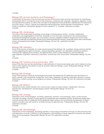4 Credits.

# Biology 220. Human Anatomy and Physiology II.

Continuation of the study of the structure and function of the human body and the mechanisms for maintaining homeostasis within it. Includes the study of the endocrine, cardiovascular, lymphatic, respiratory, digestive, urinary and reproductive systems, as well as the concepts of development and metabolism. Identification of anatomical structures using a "virtual" cadaver and preserved animal specimens will be required in the laboratory. Some hands-on dissection. Prerequisite: Biology 210 with a grade of "C" or better. Laboratory included. 4 Credits.

# Biology 225. Ornithology.

The study of the morphology, physiology and ecology of diverse groups of birds. Includes classification, systematics and biogeography of bird taxa. Emphasis on how the study of birds aids in the understanding of fundamental biological concepts, such as evolution; and how adaptive radiation shapes form and function. Laboratory exercises and field trips introducing fundamental field techniques, especially those used in biodiversity surveys and experimental studies. Prerequisites: Biology 122 and 123. Laboratory included. 4 Credits.

#### Biology 230. Genetics.

Study of the process of heredity at a more advanced level than Biology 122. A problem-solving, seminar-oriented course integrating principles of evolution, classical Mendelian genetics, non-Mendelian inheritance patterns, chromosome mapping and mutations, sex determination, extra nuclear inheritance, and the following subcategories of genetics: behavioral, population, evolutionary and conservation. Prerequisites: Biology 122 and 123.

3 Credits.

# Biology 232. Cell Structure and Function. (PP)

Study of the structure-function relationship in cells. Illustration of molecular principles upon which cellular structure and function depend. Foundation course for all other molecular biology courses. Prerequisites: Biology 122 and 123 and Chemistry 110. 3 Credits.

# Biology 235. Ecology.

Study of the physical, chemical, and biological processes that determine the distribution and abundance of plants, animals, and microbial life. Energy flow, food webs, adaptation of species, population dynamics, species interactions, nutrient cycling, and ecological succession. Prerequisites: Biology 122 and 123. Laboratory included. 4 Credits.

#### Biology 240. Botany.

Introductory study of plant diversity, form, and function. Topics include evolution, classification, structure, reproduction, development, and physiology in plants. Prerequisites: Biology 122 and 123. 3 Credits.

#### Biology 245. Zoology.

Exploration of the animal kingdom, including: systematics, anatomy, and physiology. Topics consist of basic concepts of zoology, diversity of major groups of invertebrate and vertebrate animals, evolutionary relationships, structure and function of vertebrate and invertebrate organ systems, and evolutionary development of organ systems. Includes a lab with hands-on activities focused on selected taxa. Prerequisites: Biology 122 and 123. Laboratory included.

4 Credits.

#### Biology 250. Microbiology.

Introduction to the morphology, physiology, genetics, and ecology of bacteria and fungi, as well as the structure and replication of viruses. Overview of microorganisms, with emphasis on those organisms involved in the natural history of human disease. Prerequisites: Biology 122 and 123. Laboratory included. 4 Credits.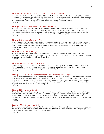#### Biology 310. Molecular Biology: DNA and Gene Expression.

In depth study on the structure and function of the genetic material, DNA, how it is replicated and how genes are regulated and expressed. Topics include the structure of DNA and chromosomes, DNA replication, DNA damage and repair, transcription, RNA splicing, translation, transcriptional regulation in prokaryotes and eukaryotes, and the structure and function of regulatory RNAs. Prerequisites: Biology 230 and Chemistry 210. 3 Credits.

# Biology/Chemistry 315. Principles of Biochemistry.

Protein structure, dynamics, folding, and methods of purification and analysis. Methods of enzymology and a review of representative enzyme mechanisms. Membrane structure and function and the operation of membrane proteins in the electron transport chain and oxidative phosphorylation. A special topic of protein science explored in student projects. Prerequisites: Biology 232 and Chemistry 210. 3 Credits.

#### Biology 340. Marine Ecology. (IL)

Study of factors that influence the distribution, abundance, and diversity of marine organisms. Topics include physical characteristics of marine and coastal habitats, larval recruitment, and community interactions. Habitats include open ocean rocky shore, tidal flats, beaches, mangrove, sub tidal areas, estuaries, and coral reefs. Prerequisites: Biology 235 and Chemistry 110.

3 Credits.

#### Biology 355. Cancer Biology.

Focus on how cells and organs interact via biochemical signaling mechanisms. Special attention to the mechanisms that govern the cell cycle and how a disrupted cell causes cancer. Cancer and various treatments discussed. Prerequisites: Biology 230 and Biology 232. 3 Credits.

#### Biology 360. Environmental Science.

Study of local, regional, and global environmental issues primarily from a biological and chemical perspective. May include issues of environmental policy and economics, engineering, and ethics. Course project and presentation required. Prerequisites: Biology 235 and Chemistry 111. 3 Credits.

# Biology 373. Biological Laboratory Techniques: Molecular Biology.

Junior level biology laboratory course supporting Biology 230, 232, 310, 315, and 355. A mixture of theoretical and practical experience in techniques used in molecular biology, including PCR and cell-based cloning, nucleic acid hybridization, genomic structure analysis, proteomics, bioinformatics, protein expression and analysis, and culturing and identifying microbiological organisms. Laboratory reports and scientific writing skills integral. Corequisite or prerequisite: Biology 230 and Biology 232. 2 Credits.

#### Biology 380. Research Seminar

Exploration of the breadth of biology career paths and research options. Guest speakers from various biological and medical fields present their work and educational background. Students choose topics for senior project proposals and research methods for discipline specific literature searches. Senior project proposals with references are due by end of term. Discipline-specific resumes and C.V. developed. Course is pass/fail for biology majors.

1 Credit.

# Biology 490. Biology Seminar I.

Broadened exposure to active areas of biology and reading current literature. Students encouraged to read and present reviews of current literature related to their senior projects. Required of seniors in the biology major and open to seniors in the ID major who are studying biology. 1 Credit.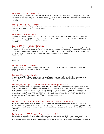#### Biology 491. Biology Seminar II.

Review of current ethical issues in science. Integrity in biological research and publication; discussion of the use of humans and animals in research, intellectual property, and other topics. Required of seniors in the biology major and open to seniors in the ID major who are studying biology. 1 Credit.

#### Biology 492. Biology Seminar III.

Public presentation of undergraduate biological research. Required of seniors in the biology major and open to seniors in the ID major who are studying biology. 1 Credit.

# Biology 495. Senior Project.

Independent research project or scholarly study under the supervision of faculty members. Topic chosen by mutual agreement between student and supervisor. Limited to and required of biology majors. Senior project proposals are required in the spring of junior year. 3 Credits.

#### Biology 298, 398. Biology Internship. (EE)

Credit and requirements variable. Proposals must be approved by head of major. Students may apply for Biology 298 after one year and at least two 200- or 300-level biology courses, and for Biology 398 after two years of study and at least three 200- or 300-level biology courses and Chemistry 110/111. Course may be repeated for credit. Internships at other institutions must be applied for and arranged by the student. Credit variable.

<span id="page-7-0"></span>Business

#### Business 141. Accounting I.

Introduction to basic financial accounting principles, the accounting cycle, the preparation of financial statements, and the use of computer spreadsheets. 3 Credits.

#### Business 142. Accounting II.

Interpretation of financial statements and the use of accounting information as a tool for making business management decisions. Use of computer spreadsheets emphasized. Prerequisite: Business 141. 3 Credits.

#### Business/Psychology 202. Human Resource Management. (PP)

(Also known as industrial and organizational psychology.) Exploration of the application of psychology to the workplace environment, such as business, government, and non-profit organizations. Major areas of study include work motivation, teams and teamwork, personnel decision-making, performance appraisal, leadership, and diversity in terms of gender, race, and personality type. Attention given to New Church concepts of conscience, discriminatory charity, and use as they apply to adult employment in our current workforce. Prerequisite: Psychology 101, a business/economics course, or permission of instructor. 3 Credits.

# Business/Computer Science 215. Management Information Systems.

This course examines how digital information can be stored and organized to benefit organizations. Topics include strategic use of information, ethical issues in handling information, software options, and concept maps for design. Tools used include spreadsheets, databases, and report writing software. Prerequisites: Computer Science 105 or permission of instructor.

3 Credits.

#### Business/Writing 220. Business Communications. (W)

Business Communications is a workplace-oriented course designed to help students develop and refine the written and oral skills necessary to communicate effectively in professional settings. Students will review the purpose and style of business writing and complete a variety of focused writing exercises based on actual work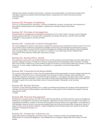settings and scenarios. Students will also plan, compose and analyze letters, memoranda and electronic messages; prepare and present brief oral presentations, collaborate with others and revise business communication. 3 Credits.

# Business 254. Principles of Marketing.

Focus on customer behavior, promotion, channels of distribution, product, and pricing, with emphasis on formulating marketing plans and strategies in a global and culturally diverse environment. 3 Credits.

#### Business 257. Principles of Management.

Fundamentals of management including the contributions of F.W. Taylor, Peter F. Drucker, and W. Edwards Deming. Special attention to business ethics, leadership, the Quality Movement, and ISO Teamwork 9000 certification. Group projects, business seminars. 3 Credits.

# Business 267. Introduction to Sports Management.

This course highlights the need for trained sport management professionals by examining the history of sport. This course also provides analysis of effective management strategies and the body of knowledge associated with pursuing a career as a manager in the sport industry. Functional management, strategic planning, decision making, leadership style, managing conflict and change, motivation of a workforce, and career opportunities in different sport environments will be explored. Prerequisite: Sophomore standing. 3 Credits.

#### Business 301. Business Ethics. (Moral)

This capstone course and its associated project focus on the analysis of moral principles and their application to decision making in business. Includes an overview of philosophical and theological ethical theories, including New Church ethics. Major focus on the analysis of ethical concerns in actual case studies from business, involving issues such as down-sizing, whistle-blowing, competition vs. cooperation, and social responsibility. 3 Credits.

# Business 302. Corporate Social Responsibility.

This course includes application of New Church/Swedenborgian ethical responsibility in business strategic planning and management. Particular focus on corporate leaders who are using an ethical worldview when partnering with government regulators, donating to non-profits through foundations, or managing sustainable supply chains. Students will strengthen their teamwork skills in various class projects. Ethical reasoning theories are drawn from psychology and theology to explain the socially responsible actions of corporate leaders. Prerequisite: Junior standing. 3 Credits.

#### Business 305. Business Seminar.

A seminar course featuring speakers from a variety of professional backgrounds. Students will be expected to interview and introduce these speakers, and lead follow-up discussions on the material they present. May be repeated for credit.

1 Credit.

#### Business 320. Financial Management.

Introduction to business finance, the role of the chief financial officer, and financial tools used by management. Emphasis on management of revenue and expenses, application of basic financial concepts to the solution of organizational problems, analysis of the short and long-term financial needs of an organization, and selection of most feasible course of action to secure best possible financial outcome and allocation of resources. Topics of present value, stock and bond valuation, capital budgeting, financial forecasting, and capital structures also examined. Prerequisite: Business 141. 3 Credits.

#### Business 351. Introduction to Business Law.

Legal enforcement of obligations and the function of law in modern business. The establishment and enforcement of contractual obligations. The establishment of an agency relationship and its effect on third parties.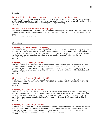3 Credits.

#### Business/Mathematics 380. Linear Models and Methods for Optimization.

Introduction to basic methods of operations research. Review of linear systems; linear programming, including the simplex algorithm, duality, and sensitivity analysis; formulation of integer programs; transportation and scheduling problems. Prerequisite: Mathematics 230 and competence in programming. 3 Credits.

#### Business 298, 398, 498. Business Internship. (EE)

Proposals must be approved by Internship Director. Students may apply for Bus 298 or 398 after at least two 200 or 300 level business courses. Internships are encouraged to be in the student's field of ID study and their capstone paper.

Credits and requirements variable.

<span id="page-9-0"></span>**Chemistry** 

#### Chemistry 101. Introduction to Chemistry.

Introduction to college chemistry. Course designed with two audiences in mind-students preparing for general chemistry, and non-science majors. No prior chemical knowledge assumed, but mathematical skills equivalent to Mathematics 100 expected. Topics covered include atomic theory, organization of matter, the mole concept, naming of chemical compounds, chemical bonding and reactions, phases of matter, and kinetics. Laboratory included.

4 Credits.

#### Chemistry 110. General Chemistry I.

First year chemistry course for science majors. Topics include atomic structure, quantum mechanics, electron configuration, chemical bonding, molecular geometry, and the periodic table, classifications of matter, stoichiometry, and reactions in solution, gases, and thermochemistry. First half of sequence with Chemistry 111. Prerequisite: One year of high school chemistry with a grade of C or better or Chemistry 101 or Earth Science 110. Laboratory included.

4 Credits.

# Chemistry 111. General Chemistry II. (QR)

Continuation of Chemistry 110. Topics include intermolecular forces, physical properties of solutions, chemical kinetics, chemical equilibrium, acids and bases, solubility, thermodynamics, and electrochemistry. Prerequisite: Chemistry 110. Laboratory included.

4 Credits.

#### Chemistry 210. Organic Chemistry I.

Second year chemistry course for science majors. Topics include molecular orbital and hybrid orbital theory and bonding, chemical energetics, alkanes, alkenes, halo alkanes, alcohols, alkynes, dienes, stereochemistry, and classes of reactions and reaction mechanisms. Laboratory includes basic techniques in organic chemistry and computer based molecular modeling. First half of sequence with Chemistry 211. Prerequisite: Chemistry 111. Laboratory included.

4 Credits.

#### Chemistry 211. Organic Chemistry II.

Continuation of Chemistry 210. Topics include spectrophotometric identification of organic compounds, arenes, esters, epoxides, aldehydes and ketones, carboxylic acids and acid derivatives, and condensation reactions. Emphasis on biological applications of organic chemistry. Laboratory includes synthetic techniques and computational chemistry. Prerequisite: Chemistry 210. Laboratory included. 4 Credits.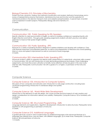#### Biology/Chemistry 315. Principles of Biochemistry.

Protein structure, dynamics, folding, and methods of purification and analysis. Methods of enzymology and a review of representative enzyme mechanisms. Membrane structure and function and the operation of membrane proteins in the electron transport chain and oxidative phosphorylation. A special topic of protein science explored in student projects. Prerequisites: Biology 232 and Chemistry 211. 3 Credits.

# <span id="page-10-0"></span>Communication

#### Communication 100. Public Speaking for ESL Speakers

Specific attention to clear pronunciation in English, as well as to building confidence in speaking fluently with English inflection and rhythm. Through public speaking assignments students will draft, practice, and deliver speeches to improve their spoken English abilities. 3 Credits.

# Communication 105. Public Speaking. (PP)

Exposure to a variety of speaking situations designed to address inhibitions and develop self-confidence. Class work features impromptu and prepared speeches, as well as oral interpretation of literature and choral speaking. Work on voice and speech improvement as well as command of body language. 3 Credits.

# Communication 205. Intermediate Public Speaking (PP)

Advances student's ability to organize and deliver public presentations of varied kinds, using basic skills covered in Communication 105, but with introduction of more demanding professional techniques, more challenging assignments, and more fine-tuned cultivation of all skills. Some attention will also be given in this class to job interview skills. Prerequisite: Communication 105 with a grade of C or higher, or permission of the instructor. 3 Credits.

# <span id="page-10-1"></span>Computer Science

# Computer Science 105. Introduction to Computer Systems.

Discussion of how computers and networks work; introduction to web page construction, including basic JavaScript programming; introduction to database design and queries. 3 Credits.

#### Computer Science 160. World Wide Web Development.

Introduction to the elements of web site design. The course includes technical aspects of web creation and design considerations for information delivery and usability. Prerequisite: Computer Science 105 or familiarity with computers.

2 Credits.

#### Computer Science 180. Structured Programming. (QR)

Language elements and applications. Algorithm development. Introduction to data structures. Prerequisite: Some experience with programming or permission of instructor. 3 Credits.

#### Computer Science 210. Additional Languages.

A guided self-study course in which students learn an additional language or the advanced features of a language they already know. May be taken, with different languages, up to three times. Prerequisite: Computer Science 180 and permission of instructor.

1-3 Credits.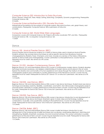#### Computer Science 220. Introduction to Data Structures.

Stacks, Queues, Linked Lists, Trees, Heaps, Sorting, Searching, Complexity, Dynamic programming. Prerequisite: Computer Science 180.

3 Credits.

# Computer Science/Mathematics 235. Discrete Structures.

Mathematical foundations for the analysis of computer systems. Recursive functions, sets, graph theory, and combinatorics. Prerequisite: Computer Science 180 or permission of instructor. 3 Credits.

#### Computer Science 260. World Wide Web Languages.

Companion course with Computer Science 160. Projects will involve JavaScript, PHP, and XML. Prerequisite: Computer Science 180. Co-requisite: Computer Science 160. 1 Credit.

<span id="page-11-0"></span>**Dance** 

#### Dance 130. Musical Theater Dance. (EEC)

Musical Theater Dance introduces students to a variety of dance styles used in American Musical Theatre. Students will learn tap and jazz dance technique as well as specific dances from Broadway musicals choreographed by Robbins, Fosse, Champion, and more. Includes an overview of the history of Broadway, specific to dance styles and choreographers. Course culminates in a final performance. Course may be repeated once for credit. Also serves as a PE course. 1.5 Credits.

# Dance 131/231. Modern Contemporary Dance. (EEC)

Beginner (Dance 131) and Intermediate (Dance 231) course in contemporary modern dance. Students develop technique and body awareness, and deeper understanding of modern dance and its place in the art world. Explore the diversity and commonality of human experience and values through the medium of dance. Includes choreography projects and culminates in a public performance at the Fall Dance Concert. Course may be repeated once for credit. Prerequisite for Dance 231: Dance 131 or instructor's permission. Also serves as a PE course.

1.5 Credits.

#### Dance 132/232. Jazz Dance. (EEC)

Beginner (Dance 132) and Intermediate (Dance 232) course in Jazz dance technique. Students learn jazz dance technique and develop creativity, flexibility, coordination, and rhythm. Dan 232 includes choreography projects, and both levels culminate in a public performance at the end-of-term concert. Course may be repeated once for credit. Prerequisite for Dance 232: Dance 132 or instructor's permission. Also serves as a PE course. 1.5 Credits.

#### Dance 133/233. Tap Dance. (EEC)

Beginner (Dance 133) and Intermediate (Dance 233) course in tap dance. Introduction to and development of the fundamentals of tap dance technique. Emphasis is given to basic steps and terminology, building combinations, musicality, and coordination, leading to final performance. Course may be repeated once for credit. Prerequisite for Dance 233: Dance 133 or instructor's permission. Also serves as a PE course. 1.5 Credits.

#### Dance 134/234. Ballet. (EEC)

Beginner (Dance 134) and Intermediate (Dance 234) course in ballet technique. Introduction to and development of the fundamentals of ballet technique and vocabulary, emphasizing alignment, stretching and strengthening, flexibility, kinesthetic awareness, line and movement phrases. This course culminates in a public performance at the end-of-term concert. Course may be repeated once for credit. Prerequisite for Dance 234: Dance 134 or instructor's permission. Also serves as a PE course. 1.5 Credits.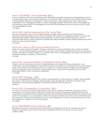# Dance 160/260/360. Dance Ensemble. (EEC)

A dance repertory course for the performing artist. Rehearsing and performing pieces choreographed by faculty and guest artists. Styles may include contemporary, jazz, hip-hop, ballet, and/or tap. Each student will be involved in several different pieces of choreography. Course culminates in public performance. Dance 260 includes collaboration on a choreography project or a solo choreography project. Dance 360 involves choreographing and teaching a group piece of choreography to the class to be performed at the end of term concert. Course may be repeated for credit.

1.5 Credits.

#### Dance 240. Creative Movement and the Young Child.

This course will explore ways in which children develop through creative movement activities based on developmentally appropriate practice. Special emphasis will be placed on integrating creative movement with other learning activities. Students will have the opportunity to work on projects that incorporate creative movement with their own areas of interest as potential teachers/caregivers. Students will also explore multicultural elements of dance and movement.

1.5 Credits.

# Dance 241. History of 20<sup>th</sup> Century American Dance.

Survey of concert dance forms (ballet, modern/contemporary, jazz/musical theatre, tap in America in the 20<sup>th</sup> century. Course includes readings, lectures, films, discussions, and analysis of individual styles and cultural trends. Course culminates in a research project on a specific dance form or choreographer, focusing on how the form or individual developed in relation to cultural trends.

3 Credits.

# Dance 331: Advanced Modern Contemporary Dance. (EEC)

Students continue to develop as dancers through learning more complex technique, progressions, and combinations, as well as engaging in improvisational exercises. Emphasis is on increasing accuracy of articulation, range of movement, and moving the body as a cohesive unit. Includes critique of modern and contemporary dance choreography and culminates in a public performance. Course may be repeated once for credit. Prerequisite: Dance 131/231 or instructor's permission. 1.5 Credits.

# Dance 340. Pedagogy. (EEC)

The use of pedagogical principles for the conduct and organization of dance lessons in modern, jazz and ballet. This course covers instruction strategies, lesson planning, class management, motivation of students, class observations, and a teaching assignment. Prerequisite: permission from the instructor. 3 Credits.

# Dance 342: Choreography & Composition. (EEC)

Focuses on the process of creating original dance compositions. Explores the elements necessary to dance composition, such as time, space, energy, form, design, and dynamics through improvisational exercises, the manipulation of movement, and the development of critical and analytical thinking. Students will compose a solo piece of choreography, accompanied by a statement of purpose for their piece, which will be performed at the end of the term. Course may be repeated once for credit. Prerequisites: Two terms of the following: Dan 131/231, Dan132/232, Dan 134/234, or instructor's permission. 1.5 Credits.

#### Dance 298/398/498. Dance Internship. (EE)

Requirements variable. Proposals should be submitted to the Department Chair. Art internships are open to students in sophomore year or above who have completed at least two art, dance, or music courses. Credits variable.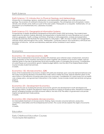# <span id="page-13-0"></span>Earth Science 110. Introduction to Physical Geology and Meteorology.

Introduction to mineralogy; igneous, sedimentary, and metamorphic petrology; rock cycle and structural geology. The evolution of continents Introduction to oceanography. The atmosphere and atmospheric motion, climate, and climatic zones. Earth as a part of the solar system. Prerequisite or co-requisite: Mathematics 101 (or placement out of Mathematics101). Laboratory included. 4 Credits.

#### Earth Science 215. Geographical Information Systems.

Fundamentals of rapidly developing Geographical Information System (GIS) technology. The students learn applications for decision making, planning, and presentation of spatial data for many disciplines such as earth science, geography, health, ecology and history. Emphasis on data preparation, analysis and presentation. Includes lab exercises that illustrate the typical steps in a GIS project. ESRI's ArcView or QGIS, and Google Earth software will be used throughout the course. Prerequisites: Computer Science 105 or proficiency with Excel and permission of instructor. Lecture and laboratory exercises will be combined in each session. 3 Credits.

# <span id="page-13-1"></span>Economics

# Economics 131. Macroeconomics. (QR)

Study of the fundamentals of economic analysis with emphasis upon national output, employment, and price levels. Exploration of the monetary and financial system together with problems of economic stability. Special attention given to the role of government fiscal and monetary policy in managing the economy. Consideration of current issues such as economic growth, federal budget deficits, and the role of the Federal Reserve Bank. Course includes student-led seminars.

3 Credits.

# Economics 132. Microeconomics. (QR)

Study of the fundamentals of economic analysis with particular emphasis upon consumer demand behavior and the output and pricing decisions of business firms under various market structures. Special attention given to the role of ethics in the behavior of business executives and consumers. Consideration of current issues such as health care, energy policy, and government intervention in the market. Course includes student-led seminars and group projects.

3 Credits.

#### Economics 231. Development Economics.

This course focuses on studying the process of economic growth and development in both developed and developing nations. Students will approach these economies by looking at empirical data, theoretical models of growth, emerging industries and their economic effects, the role of FDI, the effect of government and private capital and government trade policies. 3 Credits.

#### Economics 232. Intermediate Microeconomics.

An intermediate treatment of microeconomic thinking. Topics include consumer behavior, production, competition, externalities and the entrepreneurial function. This course will also explore the origins of economic theory. 3 Credits.

<span id="page-13-2"></span>

**Education** 

<span id="page-13-3"></span>Early Childhood Education Courses \*Course requires field experience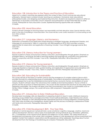# Education 128. Introduction to the Theory and Practice of Education.

Aspects of a career in teaching are explored within the context of New Church and secular educational philosophy. General topics covered include: teaching as a profession, the learner, basic educational philosophies/models, and designing and implementing instruction. Students are required to observe in either an elementary or secondary school New Church classroom and participate in at least three field trips to other schools. Prerequisite for many education courses. Experiential learning opportunities are available. 3 Credits.

# Education 202. Moral Education.

Students will learn strategies for teaching respect and responsibility and their derivative values. Special attention will be given to the role of storytelling in moral education. The course will also cover conflict resolution in a school setting as well as in other contexts. 3 Credits.

# Education 217. Language, Literacy, and Numeracy.

Exploration of theoretical and application-based learning in emergent language, development theories, and language-rich environments. Taken in conjunction with field experience (FE II) which provides numerous opportunities for observation and application of learning. Includes 1 hour of English Language Learner (ELL) instruction.

3 Credits.

#### Education 218. Literacy Instruction for Young Learners I.

Exposes students to theory and practice in literacy instruction, pre-kindergarten through grade 4. Emphasis on emergent literacy, techniques and skills of teaching reading and language arts, evaluation and assessment. Taken in conjunction with FE III. Includes 1 hour of ELL. Prerequisite: Education 128 or Education 217. 3 Credits.

# Education 219. Literacy for Young Learners II**.**

Exposes students to theory and practice in literacy instruction, pre-kindergarten through grade 4. Emphasis on Language Experience Approach (LEA), guided reading, and application of approaches across disciplines with various materials. Includes 1 hour of ELL. Taken in conjunction with FE III. Prerequisite: Education 218. 3 Credits.

# Education 260. Educating for Sustainability

This course will look at the history of western science and the emergence of complex systems science which provides the basis for understanding issues of sustainability. The students will examine sustainability issues from a systems perspective to see the interrelated environmental factors, economic factors, and problems of social inequity. Students will learn about the natural laws that underlie environmental problems- the law of limits to growth and the second law of thermodynamics. This course will also examine best practices for educating others regarding sustainability. The students will apply what they have learned in the course to a sustainability issue on the Bryn Athyn College campus. This course will have a QR component. Prerequisite: Math101. 3 Credits.

# Education 271. Introduction to Early Childhood Education.

Develop basic knowledge, skills and dispositions in preparing students to teach in early childhood classrooms. Teaching young children from a background of New Church spiritual philosophy, major theories and cultural perspectives. Emphasis on DAP (developmentally appropriate practice) involving integration of learning goals with child's play activities and investigations; diverse needs and the process of building a collaborative model with family and community. Prerequisite: Education 128. 3 Credits.

# Education 272. Child Development: Birth - Five Year Olds.

Emphasis on normal sequences in physical/motor, social, emotional, cognitive, language, creative, moral and spiritual development. Reviews various types of exceptionality among individuals (e.g. retardation, giftedness, etc.). Consideration of the nature/nurture debate and resilience in at-risk children. The varied influences on development and learning of the whole child considered. Theories of child development will be re-examined and applied. Content from research, observations and life experiences will be addressed. Teachings about human development from the theology of Swedenborg are analyzed. Prerequisite: Education 271.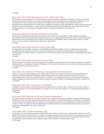3 Credits.

#### Education 273. Child Development: Five - Nine Year Olds.

Emphasis on normal sequences in physical/motor, social, emotional, cognitive, language, creative, moral and spiritual development. Review of various exceptionalities among individuals (e.g. retardation, giftedness, etc.). Consideration of the nature/nurture debate and resilience in at-risk children. The varied influences on development and learning of the whole child considered. Theories of child development will be re-examined and applied. Content from research, observations and life experiences will be addressed. Teachings about human development from the theology of Swedenborg are analyzed. Prerequisite: Education 271. 3 Credits.

#### Education 322. Social Studies and the Young Child.

Emphasis on the skills and attitudes taught within social studies and developed in early childhood programs. Special attention to state standards as well as New Church competencies through the study of units, multicultural experiences, and the methods and materials for teaching social studies. Taken in conjunction with FE II. Open only to 3rd year students. Prerequisites: Education 128 and 271. 3 Credits.

#### Education 323. Math and the Young Child (QR).

An exploration of principles, methods, and materials for teaching children math concepts and process skills through discovery and play. Students connect the sequence of cognitive development to the acquisition of mathematical concepts. Taken in conjunction with FE III. Open only to third year students. Prerequisites: Education 128 and 271.

3 Credits.

# Education 324. Science and the Young Child.

Students explore a variety of science experiences suitable for young children and compare theories of cognitive development as they relate to science. Emphasis on the nature of science and how young children perceive and conceptualize the world around them.

3 Credits.

#### Education 331. Seminar in Planning, Management and Assessment.

Builds on concurrent field experiences to help students create and modify environments and experiences to meet the individual needs of all children. Uses knowledge of how children develop and learn to provide opportunities that support the implementation of curriculum, instructional practices, and assessment. Students adapt strategies and environments to meet the specific needs of children. Prerequisites: Education 128 and 271. 1.5 Credits.

#### Education 332. Play, Movement, and Health.

Considers current research reflecting the latest developments in health, safety, nutrition and the role of play in learning. Emphasis on the responsibilities of a caregiver who works with children in the developmental stages of imagination.

1.5 Credits.

#### Education 333. Seminar on Art and Creative Expression.

Concepts related to creativity in the arts and the many media areas used by children to express themselves are introduced. Topics include: concepts of creativity and children's creative development; facilitation of children's creative expression; appreciation of children's art processes and products; art appreciation. Particular attention to New Church concepts of child development and spiritual growth as expressed in early learning and creative expression. Prerequisites: Education 128 and 271. 1.5 Credits.

# \*Education 402. Student Teaching. (EE)

For students not pursuing Pennsylvania State Certification. Taken in conjunction with Education 404 in lieu of HFC-EDUN 402 and 404. Includes at least 11 weeks of combined observation and teaching in an elementary classroom setting, supervised by a teacher from Bryn Athyn College Education Division and by a classroom teacher in the cooperating school. Offered when required. Open only to seniors in the education major. 3-12 Credits.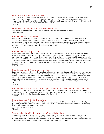# Education 404. Senior Seminar. (EE)

Meets once a week while students do senior teaching. Taken in conjunction with Education 402. Requirements include: creating a professional teaching portfolio, reflective documentation of the senior teaching experience, research project, creation of a full unit which the student teacher will teach during their senior teaching. Offered when required. Open only to seniors in the education major. 3 Credits.

# Education 298, 398, 498. Education Internship. (EE)

Proposals must be approved by the head of major. Course may be repeated for credit. Credit variable.

#### Field Experience I: Observation.

Field experience (FE) where students are observers in specific classrooms. This FE is taken in conjunction with courses offered in fall term and includes 15 hours of dedicated special education observation towards certification. Students will be assigned to a classroom for guided observation experience that directly relates to course work during the 2nd year. Not open to non-majors. Co-requisites: Education 217, 324, 331 and Special Education 312 or Education 271, 324, 331 and Special Education 312. 3 Credits.

#### Field Experience II: Exploration.

A candidate works under the teacher's supervision during individual tutorials or with a small group of students. Activities may include reading, math, and other subject matter experiences, tutoring children, small group conversations, outdoor play, and monitoring classroom routines and procedures. Includes 15 hours practice with special needs children. FE II is taken in conjunction with all winter term of the third year and provides students with 120 hours of observation and practice teaching. FE II occurs every Tuesday and Thursday of the term. Not open to non-majors; 3rd year students only. Co-requisites: Education 218, 322, 332 or Education 272, 322, 332; Special Education 313.

3 Credits.

#### Field Experience III: Pre-student Teaching.

Beginning of student teaching in which candidates teach various groups of students in schools and early learning settings. A combination of individual tutorials, small group, and whole class instruction at the selected grade level. Students work with materials that they have prepared for classroom instruction. A continuation of FE II, FE III gives students more independent practice in working with whole class instruction, integrating special needs and ELL students in their assigned classroom. Provides 120 hours of practice teaching and 15 hours with special needs children. Not open to non-majors; 3rd year students only. Co-requisites: Education 219 or 273; Education 323 and 333.

3 Credits.

# Field Experience IV: Observation in Upper Grade Levels (New Church curriculum only).

For students intending to teach in the New Church school system. Students will need experience with upper grade levels and this FE provides them with an additional 75 hours of exposure and practice teaching with upper elementary students, in the 4th year. Co-requisite: Psychology 204. 3 Credits.

#### Field Experience V: Student Teaching.

Minimum of 12 weeks full-time student teaching in an assigned school. FE V is taken at Holy Family University (EDUN 402) under the supervision of their field placement office. International students will be supervised through Bryn Athyn College's field placement office. Required of all education majors. 12 Credits.

Special Education 211. Introduction to Special Education.

Introduction to the types of learners who will need instruction and nurturing in the classroom. Every learner is unique, and some are unique in ways that make conventional classroom processes unworkable. Exposure to methods and materials that may make an approach to these students a joyful discovery of the fascinating range of learning styles that are available to human beings. Prerequisite: Education 128.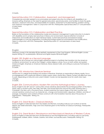3 Credits.

#### Special Education 312. Collaboration, Assessment, and Management.

Competencies and skills needed to accommodate and adapt instruction for students with disabilities in an inclusive setting. Emphasis on the need for general educators, special educators, and families to share the goals, decisions, classroom instruction, and responsibility for students, assessment of student learning, problem solving, and classroom management. Taken in conjunction with FE II. Prerequisites: Special Education 211 and permission of area head.

3 Credits.

# Special Education 313. Collaboration and Best Practice.

Builds on the foundation of the collaborative model and classroom management to give instruction to students with disabilities and to employ best practices in literacy-rich environments. Special attention to levels of interactivity and modifications to meet individual needs. Current best practices and research-based methodologies of curricular adaptations, including technology-based accommodations and modifications. Taken in conjunction with FE III. Prerequisites: Special Education 211 and permission of area head. 3 Credits.

#### <span id="page-17-0"></span>English

Literature courses in this discipline fill the aesthetic requirement of the Core Program. 200-level English courses require Writing 101 as prerequisite. 300-level and higher require 200-level English.

#### English 100. English as a Second Language.

Designed for all incoming non-native English speaking students to facilitate their transition into the American academic environment, as well as the College's unique religious culture. Focus on both written and spoken American English. Emphasis on American literature, library research skills, and writing as a process that leads to proficiency.

3 Credits.

# English 105. Introductory Literature Seminar

Introduction to college-level reading and analysis of literature. Emphasis on responding to literary media. Focus on engagement with a particular theme in stories, poems, plays, and/or films. Literary content will differ from year to year, depending on instructor and current interest. Course can be repeated once for credit when topic changes.

3 Credits.

#### English 204. Communications: Modern Film and the Mythological Hero's Journey.

Study of eight to ten 20<sup>th</sup> and 21st century films whose narratives demonstrate the archetypal pattern of the Hero's Quest, seen in ancient myths, fairy tales, folk tales, and sacred texts from around the world. Drawing upon J. Campbell's *The Hero with a Thousand Faces*, students examine the twelve stages of the hero's journey and unravel narrative constructs such as character arc, change and transformation, departure, initiation, and rites of passage. Comparison and contrast of these constructs with what revelation teaches about the journey of regeneration. Prerequisite: Writing 101. 3 Credits.

#### English 215. Great Books I. Classical Literature.

Study (in English) of selected texts from the Greeks and Romans, including works by such authors as Homer, Hesiod, the Greek dramatists, Virgil, and Ovid. Emphasis given to the themes of Classical mythology. Prerequisite: Writing 101.

3 Credits.

# English 216. Great Books II. Renaissance and Neoclassical Literature of Western Culture.

Study (in English) of selected texts from the Renaissance and the Enlightenment, including works by Cervantes, Shakespeare, Moliere, Milton, Voltaire, Goethe, and others. Lecture/discussion. Prerequisite: Writing 101. 3 Credits.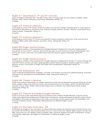# English 217. Great Books III. 19th and 20th Centuries.

Study (in English) of selected 19th- and 20th-Century texts, including works by such authors as Shelley, Forster, Flaubert, Henry James, Dostoevsky, and Tolstoy. Prerequisite: Writing 101. 3 Credits.

#### English 218. American Literature I.

Chronological survey of 19th-Century American writers up to the rise of realism. Emphasis given to major figures in the American Renaissance: Hawthorne, Poe, Dickinson, Melville, Emerson, Thoreau, Whitman. Some lesser known writers included. Prerequisite: Writing 101. 3 Credits.

# English 219. American Literature II.

Chronological survey of late 19th-Century and early 20th-Century American authors from Twain and the rise of Realism to Willa Cather, Edith Wharton, and Henry James. Prerequisite: Writing 101. 3 Credits.

#### English 220. English Literature Survey I.

Chronological overview of the development of English literature in England from the early medieval period through the civil war (mid17th century). Lecture and discussion on such authors as Chaucer, Shakespeare, John Donne, Ben Jonson, and more. One student report and one research paper. Prerequisite: Writing 101. 3 Credits.

#### English 221. English Literature Survey II.

Chronological overview of the development of English literature in England from the late 17<sup>th</sup> century through the early 20<sup>th</sup> century. Lecture, discussion, guest speakers, student reports or projects, research paper on a chosen period or author. Continuation of English 220; English 220 not prerequisite. Prerequisite: Writing 101. 3 Credits.

#### English 235. Shakespeare. (W)

Study of selected Shakespearean tragedies, comedies, and histories. Lectures and collateral readings. Some films and group work. Background of the Elizabethan world. Prerequisite: Writing 101. 3 Credits.

#### English 245. Children's Literature.

Study of the textual characteristics of children's literature and the role this literature has played historically. Picture books, readers, stories, and adventure novels. May include authors such as Caxton, Grimm, MacDonald, Milne, and New Church writers. Written work includes projects and a children's story reflecting the trends studied. Prerequisite: Writing 101. 3 Credits.

# English 310. Chaucer and Medieval English Literature.

Study of Chaucer as the major literary figure and influence from medieval English literature. Chaucer and his major works against the background of Anglo-Saxon and Norman culture and against fourteenth-century literary and religious movements as presented in such works as *Sir Gawain and the Green Knight*, *The Wyclif Bible*, and *The Book of Marjory Kempe.* Prerequisite: Writing 202 and any 200-level English course. 3 Credits.

# English 314. The Poetry of Devotion. (W)

Examination (in English) of how the poetry of various times and cultures has served as a locus for the human soul's encounter with the Divine. May include authors such as St. John of the Cross, Herbert, Blake, Hopkins, Novalis, and Rilke, along with such non-Western poets as Mirabai, Kabir, and Rumi. Explores the poetry of temptation, ecstasy, and Scripture. Alternates with English 315. Prerequisite: Any 200-level English course. 3 Credits.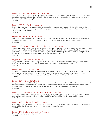#### English 315. Modern American Poets. (W)

In-depth study of American poets of the twentieth century, including Robert Frost, Wallace Stevens, Ezra Pound, Langston Hughes, and Sylvia Plath, reflecting the range and variety of expression in modern American culture. Prerequisite: Any 200-level English course. 3 Credits.

#### English 320. The English Language.

Study of the historical development of the language from Anglo-Saxon to Modern English, with focus on the culture and events that have shaped the language, and ways in which English has shaped cultures. Prerequisite: Any 200-level English course.

3 Credits.

#### English 330. Elizabethan Literature.

Literary renaissance in England, together with its backgrounds and influence. Focus on representative writers in one of the major genres. Seminar presentations required. Prerequisite: Any 200-level English course. 3 Credits.

#### English 350. Eighteenth-Century English Prose and Poetry.

Study of the major writers of the period, including Defoe, Swift, Pope, Gibbon, Boswell, and Johnson, together with others whose works characterize the age. The literature is integrated with other aspects of culture—music, art, philosophy, and science—to offer a view of the England that Swedenborg found in his visits, including those to publish his theological works. Prerequisite: Any 200-level English course. 3 Credits.

#### English 360. Victorian Literature. (IL)

Study of selected literary figures of England from 1830 to 1900, with emphasis on trends in religion, philosophy, and science, and on the literary form of the novel. Prerequisite: Any 200-level English course. 3 Credits.

#### English 365: Topics in Literature.

In depth examination of a selected literary theme, movement, genre, or author. Specific title announced in the course bulletin when offered. Topics will make use of a professor's area of expertise and research. May be repeated for credit when different topics are offered. Prerequisite: Any 200-level English course. 3 credits.

#### English 367. The Modern Novel.

Study of selected early 20th-century novels. Emphasis on how these works reshape 19th-century forms and subjects to reflect changes (demographic, political, social) in the modern world. Includes such writers as James, Woolf, Faulkner, Hurston, and Hemingway. Prerequisites: Writing 202 and any 200-level English course. 3 Credits.

#### English 370. Twentieth Century Authors (after 1950). (W)

Major British and American authors, and others, writing in the post-World War II era. Focus on the novel. Includes such authors as Steinbeck, Maclean, Morrison, and O'Brien. Prerequisite: Any 200-level English course. 3 Credits.

# English 490. English Major Writing Project.

Writing project for the writing track of the English major. Independent work in criticism, fiction, or poetry, guided by an advisor. Involves student over a two-term period of the senior year. 3 Credits.

#### English 491. English Major Writing Project.

Completion of the senior writing project. 3 Credits.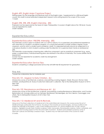# English 499. English Major Capstone Project

Writing project for the language and literature track of the English major. Supplemental to a 300-level English course, this credit involves extended independent research and writing beyond the scope of the course. 1 Credit.

# English 298, 398, 498. English Internship. (EE)

Proposals must be approved by the head of major. Prerequisites: 2 courses in English above the 100-level. Course may be repeated for credit. Credit variable.

<span id="page-20-0"></span>Experiential Education

# Experiential Education 198/298. Internship. (EE)

The internship course is open to students with a 2.7 GPA or above. It is a supervised, pre professional experience with clear links to a student's academic program. It is conducted primarily or totally outside a regular course classroom, and for which a student earns academic credit. It is organized primarily around an assignment in a work-place situation in which students working under the direction of a supervisor learn hands-on professional skills.

The internship course requires a learning plan, reflective component, and an analytical component (e.g., essay, paper, or presentation). Individual learning plans are retained in the office of Internship. This course satisfies the EE requirement.

Course may be repeated for academic credit. By arrangement. Credit variable.

# Experiential Education Service Trips.

Students completing a college sponsored service trip will fulfill their EE requirement for graduation.

<span id="page-20-1"></span>Fine Arts

\*course has a laboratory fee for materials used

# Fine Arts 101. Aegean to Early Christian. (IL)

Introductory survey of architecture, sculpture, and painting covering Aegean, Greek, Etruscan, Roman, Early Christian, and Byzantine art. Study of works from Glencairn's collection. Trip to the Metropolitan Museum of Art in New York.

3 Credits.

#### Fine Arts 102. Renaissance and Baroque Art. (IL)

Introductory survey of the architecture, sculpture, and painting covering Renaissance, Reformation, and Counter-Reformation art. Includes artists such as Vermeer, Rembrandt, Michelangelo, da Vinci, Bernini, Caravaggio, and others. Trip to Metropolitan Museum of Art in New York. 3 Credits.

# Fine Arts 112: Medieval Art and Its Revivals.

Using one of the finest collections of medieval art in the world (Glencairn Museum), this course surveys the art of Medieval Europe, particularly that of France, focusing on the evolution of sacred imagery, and how it reflects and shapes the attitudes of the period. It also covers medieval revivals in 19th century England and 19th/20th century America. Highlights include: Early Christian sculpture, Celtic manuscripts, Romanesque sculpture, Gothic cathedrals, and Gothic revivals including aspects of the Arts and Crafts movement. Students solve problems posed by some of Glencairn's pieces and develop a research topic. Students may not take both levels of this course for credit. 3 Credits.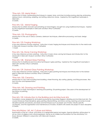#### \*Fine Arts 120. Metal Work I.

Introduction to basic metalworking techniques in copper, brass, and silver including sawing, piercing, embossing, raising a bowl, cold joining, soldering, and setting cabochon stones. Inspired by the magnificent examples in Glencairn.

3 Credits.

# Fine Arts 122. Metal Forging.

Introduction to artistic ironwork concentrating on hand-forged, wrought iron using traditional techniques. Inspired by the magnificent examples in Glencairn and Bryn Athyn Cathedral. 3 Credits.

# \*Fine Arts 125. Photography.

Introduction to the use of various cameras, darkroom techniques, alternative processing, and basic design. 3 Credits.

#### Fine Arts 123. Forging Workshop

A four-day intensive summer workshop. Instruction in basic forging techniques and introduction to the metal work in Glencairn Museum and Bryn Athyn Cathedral. 1 Credit.

# Fine Arts 126. Stone Carving Workshop

A four-day intensive summer workshop. Instruction in basic stone carving techniques and introduction to the stonework in Glencairn Museum and Bryn Athyn Cathedral.

1 Credit.

# Fine Arts 128. Stained Glass Painting.

Introduction to traditional and innovative techniques in glass painting. Inspired by the magnificent examples in Glencairn and Bryn Athyn Cathedral. 3 Credits.

# Fine Arts 129. Stained Glass Painting Workshop.

A four-day intensive summer workshop. Instruction in glass painting techniques and introduction to the stained glass in Glencairn Museum and Bryn Athyn Cathedral. 1 Credit.

#### \*Fine Arts 130. Ceramics.

Introduction to clay work including hand building, wheel throwing, slip casting, glazing, and firing processes. Also form function and representation.

3 Credits.

#### \*Fine Arts 140. Drawing and Painting.

Introduction to basic techniques in drawing and painting. Oil painting project. Discussion of the development of the history of painting.

3 Credits.

# Fine Arts 150. Introduction to the Building and Architectural Arts

Foundation course designed for all students pursuing the Associates Degree in Building and Architectural Arts. The course introduces three disciplines: glass painting, blacksmithing, and stone carving. Learning outcomes include discipline specific procedures, processes and techniques (such as proper use of tools), industry specific vocabulary, and the organization and maintenance of studios. Students will create one project in each discipline. 3 Credits.

#### Fine Arts/History 160. Art, Culture and History.

Examination of the art, culture, and history of a designated period and region. Special attention will be given to art as a form of religious and cultural expression. Serves as an intellectual foundation for Fine Arts/History 161: Study Abroad. Offered in conjunction with Glencairn Museum. 3 Credits.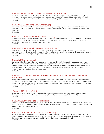#### Fine Arts/History 161: Art, Culture, and History: Study Abroad.

Participation in an academic study abroad trip (2-3 weeks) focused on the period and region studied in Fine Art/History 160. Students are required to present research completed in Fine Arts/History 160 on site. Offered in conjunction with Glencairn Museum. Prerequisite: Fine Arts/History 160 in preceding term. Pass/Fail. 1 Credit.

# Fine Arts 201. Aegean to Early Christian. (IL)

Introductory survey of architecture, sculpture, and painting covering Aegean, Greek, Etruscan, Roman, Early Christian, and Byzantine art. Study of works from Glencairn's collection. Trip to the Metropolitan Museum of Art in New York.

3 Credits.

#### Fine Arts 202. Renaissance and Baroque Art. (IL)

Introductory survey of the architecture, sculpture, and painting covering Renaissance, Reformation, and Counter-Reformation art. Includes artists such as Vermeer, Rembrandt, Michelangelo, da Vinci, Bernini, Caravaggio, and others. Trip to Metropolitan Museum of Art in New York. 3 Credits.

# Fine Arts 210. Nineteenth and Twentieth Centuries. (IL)

Examination of the architecture, sculpture, and painting of the late eighteenth, nineteenth, and twentieth centuries in Europe, England, and America. Special attention given to artists influences by Swedenborg, including Flaxman, Blake, Powers, Page, Gaugin, Inness, Pyle, and Burnham. 3 Credits.

#### Fine Arts 212. Medieval Art.

Using one of the finest collections of medieval art in the world (Glencairn Museum), this course surveys the art of Medieval Europe, particularly that of France, focusing on the evolution of sacred imagery, and how it affects and shapes the attitudes of the period. Highlights include: Early Christian sculpture, Celtic manuscripts, Romanesque sculpture, and Gothic cathedrals. Students solve problems posed by some of Glencairn's pieces and develop a research topic related to a piece of their choice. 3 Credits.

# Fine Arts 213. Topics in Twentieth-Century Architecture: Bryn Athyn's National Historic Landmarks.

Study of the conception of Bryn Athyn Cathedral, Glencairn, Cairnwood, and Cairncrest within the context of architectural developments at the turn of the twentieth century. The course uses resources in the Cathedral, John Pitcairn Archives, Glencairn, and the Raymond and Mildred Pitcairn archives, from which the students do original research on a topic of their choice. 3 Credits.

# \*Fine Arts 220. Metal Work II.

Continuation of FA 120 introducing new techniques in copper, silver, gold foil, cloisonné, and the setting of faceted stones. Inspired by the magnificent examples at Glencairn. Prerequisite: Fine Arts 120. 3 Credits.

# Fine Arts 222. Intermediate Metal Forging.

Focusing on architectural ironwork design and construction, this course refines the skills learned in FA 122. Includes opportunities for self-expression and creative thinking. Inspired by the magnificent examples in Glencairn and Bryn Athyn Cathedral. Prerequisite: FA 122. 3 Credits.

#### Fine Arts 228: Intermediate Stained Glass Painting

Focusing on architectural stained glass design and construction, this course refines the skills learned in FA 128. Includes opportunities for self-expression and creative thinking, repair and restoration of historic glass. Inspired by the magnificent examples in Glencairn and Bryn Athyn Cathedral. Prerequisite: FA 128. 3 Credits.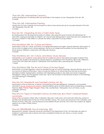#### \*Fine Arts 230. Intermediate Ceramics.

Further development of individual skills and sensitivities in the medium of clay. Prerequisite: Fine Arts 130. 3 Credits.

# \*Fine Arts 240. Intermediate Painting.

Introduction of more materials and techniques as well as more advanced use of concepts learned in Fine Arts 140. Prerequisite: Fine Arts 140.

3 Credits.

#### Fine Arts 251. Integrating Art into a Child's Early Years.

By reading about the developmental states of children, discussing the issues involved with elementary art education, looking at examples of children's art, and actually doing projects, future teachers and caregivers will become confident in their ability to cultivate the artistic capacities of young children. 1.5 Credits.

# Fine Arts/History 260. Art, Culture and History.

Examination of the art, culture, and history of a designated period and region. Special attention will be given to art as a form of religious and cultural expression. Serves as an intellectual foundation for Fine Arts/History 261: Study Abroad. Offered in conjunction with Glencairn Museum. 3 Credits.

#### Fine Arts/History 261: Art, Culture, and History: Study Abroad.

Participation in an academic study abroad trip (2-3 weeks) focused on the period and region studied in Fine Art/History 260. Students are required to present research completed in Fine Arts/History 260 on site. Offered in conjunction with Glencairn Museum. Prerequisite: Fine Arts/History 260 in preceding term. Pass/Fail. 1 Credit.

# Fine Arts/History 308. The Art and Culture of Ancient Egypt.

Examination of ancient Egyptian culture as revealed through art and archaeology. Special attention given to art as a source of historical information. Topics include the influence of natural resources and the environment, principles of artistic representation, problems with interpreting evidence, the origin and nature of Egyptian hieroglyphic writing, and the Egyptian world view. Trip to the University of Pennsylvania Museum of Archaeology and Anthropology in Philadelphia.

3 Credits.

#### Fine Arts 310. Nineteenth and Twentieth-Century Art. (IL)

Examination of the architecture, sculpture, and painting of the late eighteenth, nineteenth, and twentieth centuries in Europe, England and America. Special attention given to artists influenced by Swedenborg, including Flaxman, Blake, Powers, Page, Gauguin, Inness, Pyle, and Burnham. Prerequisite: Any IL art history course, preferably 200 level.

3 Credits.

# Fine Arts 313. Topics in Twentieth-Century Architecture: Bryn Athyn's National Historic Landmarks.

Study of the conception of Bryn Athyn Cathedral, Glencairn, Cairnwood, and Cairncrest within the context of architectural developments at the turn of the twentieth century. The course uses resources in the Cathedral, John Pitcairn Archives, Glencairn, and the Raymond and Mildred Pitcairn archives, from which the students do original research on a topic of their choice.

3 Credits.

#### Fine Arts 298/398/498. Fine Art Internship. (EE)

Requirements variable. Proposals should be submitted to the Department Chair. Art internships are open to students in sophomore year or above who have completed at least two art, dance, or music courses. Credits variable.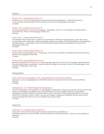#### <span id="page-24-0"></span>French 101. Introductory French I.

Introduction to the French language for students without previous experience. Emphasis is placed on communication and foundations of French grammar. French is the language of instruction. 3 Credits.

#### French 102. Introductory French II.

Continuing introduction to the French language. Prerequisite: French 101 or equivalent as determined by placement test. French is the language of instruction. 3 Credits.

# French 201. Intermediate French I.

Intermediate French builds upon a student's prior experience with French language and culture. The course concentrates on four skills areas: listening, speaking, reading and writing, and is augmented by cultural readings and film selections. Prerequisite: French 102 or equivalent as determined by placement test. French is the language of instruction. 3 Credits.

#### French 202. Intermediate French II.

Continuation of intermediate French. Prerequisite: French 201 or equivalent as determined by placement test. French is the language of instruction.

3 Credits.

# French 203. Intermediate French III.

Emphasis on importance of French as a world language. Exploration of the French language's global influence through reading stories, viewing films, using the internet, writing, and discussion. French is the language of class instruction. Prerequisite: French 202.

3 Credits.

#### <span id="page-24-1"></span>Geography

# Earth Science/Geography 105. Geographical Information Systems.

Laboratory course using geographical information systems including ArcView and virtual globe software. Pass/Fail.

2 Credits.

#### Geography 110. World Regional Geography.

Study of world regions with emphasis on the geographic relationships—physical and cultural—that give them their character. Emphasizes the political and cultural formations of human societies. Who lives where? Which languages are spoken where? How did the nations of the world arrive at their present borders? Why do some parts of the world see constant conflict; why are some regions of disputed ownership? Why are some places more developed than others? Focus on familiarity with map locations. 3 Credits.

#### <span id="page-24-2"></span>German

#### German 101. Introductory German I.

Introduction to the German language for students without previous experience. Emphasis is placed on communication and the foundations of German grammar. German is the language of instruction.

3 Credits.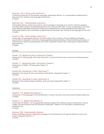#### German 102. Introductory German II.

Continuing introduction to the German language. Prerequisite: German 101 or equivalent as determined by placement test. German is the language of instruction. 3 Credits.

# German 201. Intermediate German I.

Intermediate German builds upon students' prior knowledge of language and culture in German-speaking countries while reviewing and solidifying grammar and communication skills. Course concentrates on four skills areas: listening, speaking, reading and writing and is augmented by cultural readings and film selections. Prerequisite: German 102 or equivalent as determined by placement test. German is the language of instruction. 3 Credits.

# German 202. Intermediate German II.

Continuation of intermediate German. Provides students with a range of cultural materials and linguistic opportunities to strengthen command of language skills (speaking, reading, writing and listening) and grasp of cultural issues in German-speaking lands since 1945. Prerequisite: German 201 or equivalent as determined by placement test.

3 Credits.

#### <span id="page-25-0"></span>Greek

#### Greek 110. Beginning New Testament Greek I.

Introduction to the language of the New Testament. A study of the basic forms and syntax of Greek grammar. 3 Credits.

#### Greek 111. Beginning New Testament Greek II.

Continuation of Greek 110. Prerequisite: Greek 110. 3 Credits.

#### Greek 250. Readings in New Testament I.

Readings in the Gospel of John and the Book of Revelation. Prerequisite: Greek 111. 3 Credits.

#### Greek 251. Readings in New Testament II.

Readings in the synoptic gospels (Matthew, Mark and Luke). Prerequisite: Greek 111. 3 Credits.

<span id="page-25-1"></span>**Hebrew** 

#### Hebrew 110. Beginning Hebrew I.

Introduction to the language of the Old Testament. A study of the basic forms and syntax of Hebrew grammar. 3 Credits.

#### Hebrew 111. Beginning Hebrew II.

Continuation of Hebrew 110, with graduated readings adapted from Genesis, Exodus, Deuteronomy, Joshua, Judges, and other books of the Old Testament. Prerequisite: Hebrew110 or equivalent as determined by placement test.

3 Credits.

# Hebrew 250. Intermediate Hebrew.

Review of Hebrew grammar, followed by readings in the Old Testament with special attention to forms and syntax. Prerequisite: Hebrew 111.

3 Credits.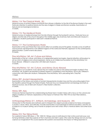# <span id="page-26-0"></span>History 114. The Classical World. (IL)

Historical survey of ancient Greece and Rome from Minoan civilization to the fall of the Roman Empire in the west. Particular attention to political trends and the role of religion in Greek and Roman societies. Examination of textual and archaeological evidence. 3 Credits.

#### History 115. The Medieval World.

Historical survey of medieval Europe from the fall of Rome through the fourteenth century. Particular focus on religion and the role of the church throughout the middle ages. Use of primary texts and Glencairn Museum's collections. Students participate in Glencairn's Medieval Festival. 3 Credits.

#### History 117. The Contemporary World.

Examination of the post-World War II era and its effect on societies around the globe. Includes survey of political and economic developments in the different regions of the world and thematic approach to the contemporary global situation. Current events discussions. 3 Credits.

#### Fine Arts/History 160. Art, Culture and History.

Examination of the art, culture, and history of a designated period and region. Special attention will be given to art as a form of religious and cultural expression. Serves as an intellectual foundation for Fine Arts/History 161: Study Abroad. Offered in conjunction with Glencairn Museum. 3 Credits.

#### Fine Arts/History 161: Art, Culture, and History: Study Abroad.

Participation in an academic study abroad trip (2-3 weeks) focused on the period and region studied in Fine Art/History 160. Students are required to present research completed in Fine Arts/History 160 on site. Offered in conjunction with Glencairn Museum. Prerequisite: Fine Arts/History 160 in preceding term. Pass/Fail. 1 Credit.

#### History 207. Ancient Mesopotamia.

Examination of the history and society of ancient Mesopotamia (modern Iraq and the surrounding region) from the Neolithic period through the Persian Empire. Particular focus on Mesopotamian archaeology and texts as historical sources. Use of Glencairn Museum's Near Eastern collection. 3 Credits.

#### History 209. Asia.

Introduces themes important for understanding Southeast Asia's modern history with a focus on the cultural and religious traditions of Vietnam. Explorations of the impact of Vietnam War 1950-1975 on East-West relations. 3 Credits.

#### Anthropology/History 211. Artifacts, Archaeology, and Museums. (W)

Introduction to the theories and methods used to interpret how objects provide evidence for history and express a society's values, ideas, and attitudes. Includes examination of archaeological method and ethics, and the use of objects in a museum setting. Use of hands-on projects and visits to Bryn Athyn's historical district and other local sites.

3 Credits.

#### History 212. The Viking World.

For a period of about 300 years, c. 750- 1050 CE, Vikings came to instill dread in their victims and hold sway over far-flung territories under the auspices of Thor's hammer and Odin's spear. Who were the Vikings and why do they capture our imagination? This course explores this question and examines the impact of Viking expansion in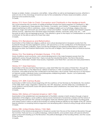Europe as raiders, traders, conquerors, and settlers. Using written as well as archaeological sources, attention is paid not only to the chronology of events but also to the consideration of Norse values and beliefs, cultural practices and societal structures. 3 Credits.

#### History 213. From Odin to Christ: Conversion and Christianity in the Medieval North.

This course examines the conversion of medieval Northern Europe from Norse paganism to Christianity (c. 800 – 1300 CE) as understood in three periods: Pre-Christian, Conversion, and Christian. Consideration of multiple aspects pertaining to shifts in worldviews, values, and religious beliefs such as mythology, religious rites and practices, magic and witchcraft, law and ethics, custom and tradition. Students analyze and interpret assigned primary sources – selections from Old Norse sagas and Eddas, histories, chronicles, saints' lives, etc. -- with recourse as well to the archaeological record. Due attention is given to the impact of Christianization on society at all levels, for the elite as well as for those they ruled. 3 Credits,

# History 215. Renaissance and Reformation.

Examination of the intellectual, religious, political, and cultural developments in European society from the fourteenth through the early eighteenth century, with special focus on the contributions of the Renaissance and Reformation to western civilization. Topics include the emergence and spread of Renaissance culture, the Renaissance state, the Protestant Reformation, and the wars of religion. Use of primary texts as historical sources. 3 Credits.

# History 216. The Making of Modern Europe, 1715-1918.

Study of political, social, economic, and cultural developments in the major European powers from the eighteenth century through World War I. Topics include the Industrial Revolution, the French Revolution, Romanticism, Nationalism, Modern Mass Society, Imperialism, and World War I. Lectures and class presentations. 3 Credits.

# History 217. Nazi Germany

Examination of the rise and fall of Nazi Germany under Adolf Hitler from the ashes of World War I, through the battles of World War II, to the Allied forces' defeat of Germany in 1945. Consideration of the historical, social, economic, and political factors that contributed to the Nazi party's rise to power. Particular focus on the impact on German society, individual choice, and philosophies underpinning Nazism: fascism, cult of personality, eugenics, anti-Semitism, social Darwinism. 3 Credits.

# History 219. 20th Century Russia

Examination of 20th Century Russia beginning with the overthrow of Tsar Nicholas by the Bolsheviks, the creation of the USSR, Stalin's reign, stagnation, Gorbachev, the 1991 dissolution, and the Yeltsin era. Consideration of social, political, and economic issues with special attention paid to Bolshevism, the Great Terror, and the role of authoritarian rule.

3 Credits.

# History 225. History of Colonial America 1607-1763.

Examination of the establishment and development of the British colonies in North America through a topical exploration of the religious, social, political, and economic framework of several key colonies and the nature of the evolving strain between the colonies and England. Particular attention given to the distinct founding goals and values of each colony as well as the evolution of unifying American identity by the middle of the 18th century. Special attention to analyzing historical argument and developing skills in historical writing through article reviews. 3 Credits.

# History 230. United States History 1763-1865.

Examination of the historical development of American society from the eve of the American Revolution through the Civil War. Particular focus on political ideology, national identity, and societal values with special attention given to the events leading up to the Revolution, the political ideologies of the founding fathers, and the causes of the Civil War.

3 Credits.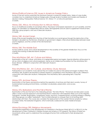# History/Political Science 232. Issues in American Foreign Policy.

Survey of the last century examines the dominant themes in American foreign policy. Series of case studies considers how to understand American foreign policy through levels of analysis and models and theories of decision making. Prerequisites: Political Science 101, History 117, or instructor permission. 3 Credits.

#### History 235. Africa: An Introduction to African History.

Focus on traditional societies of sub-Sahara Africa, the impact of European expansion on such societies, and the legacy of colonialism on independent African states. Ethnographies and art used to supplement historical texts. Field trips, group projects, and use of Glencairn Museum. 3 Credits.

#### History 240. Ancient Israel.

Study of the ancient Israelites from the time of their formation as a social group through the destruction of the temple in Jerusalem by the Romans. Emphasis on government, religion, intercultural relationships between Israel and its neighbors, and the context of the Old Testament. 3 Credits.

#### History 245. The Middle East.

Surveys political, social, and cultural developments in the societies of the greater Middle East. Focus on the waxing and waning of selected Islamic Empires. 3 Credits.

#### Fine Arts/History 260. Art, Culture and History.

Examination of the art, culture, and history of a designated period and region. Special attention will be given to art as a form of religious and cultural expression. Serves as an intellectual foundation for Fine Arts/History 261: Study Abroad. Offered in conjunction with Glencairn Museum. 3 Credits.

# Fine Arts/History 261. Art, Culture, and History: Study Abroad.

Participation in an academic study abroad trip (2-3 weeks) focused on the period and region studied in Fine Art/History 260. Students are required to present research completed in Fine Arts/History 260 on site. Offered in conjunction with Glencairn Museum. Prerequisite: Fine Arts/History 260 in preceding term. Pass/Fail. 1 Credit.

#### History 270. Archives Theory.

Examination of the theory and practice behind the operation of archives and their role in society. Survey of fundamentals including archival history, controlled vocabularies, preservation, and access. 3 Credits.

#### History 276. Barbarians and the Fall of Rome.

Examination of the era that led to the misleading phrase: "the fall of Rome." This lecture and discussion course offers a more nuanced approach and examines Rome's interaction with barbarian tribes such as the Visigoths, Ostrogoths, Vandals, Burgundians, Langobards, Franks, and Huns. It explores Rome's evolving strategy in dealing with these groups, so-called "barbarians," from its initial attempts to conquer them to its forming client relationships with them. The course also considers the replacement of the western Roman empire by various successor states, the barbarian kingdoms, which eventually coalesced into early medieval Europe. 3 Credits.

#### History/Sociology 290. Religious Movements.

Comparative exploration of the development of Christianity in the Roman World (40 A.D. to 350 A.D.) to the development of New Christianity in Western Europe and America (1757-present). The history of these two movements will be used to understand the sociological factors that contributed to their development. 3 Credits.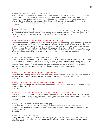#### Human Society 301. Research Methods. (IL)

This course prepares students for the capstone courses for the Human Society major. Practical instruction in upper-level research including formulating a research question, developing and implementing a search strategy, engaging and evaluating sources as evidence, argument development, and proper source citation. Culminates in a research proposal that Human Society majors will use as the foundation for the remainder of their capstone sequence. Only open to Human Society majors. 3 Credits.

#### History 305. Topics in History.

This course explores intersecting notions of justice and vengeance in Medieval European law. Of special interest is the tension between customary forms of justice seeking, largely retributive nature, and the development of jurisprudence, that is a 'philosophy of law' based on Christianity and Christian rulership. 3 Credits.

#### Fine Arts/History 308. The Art and Culture of Ancient Egypt.

Examination of ancient Egyptian culture as revealed through art and archaeology. Special attention given to art as a source of historical information. Topics include the influence of natural resources and the environment on Egyptian culture and art, principles of artistic representation, challenges with interpreting the archeological and textual evidence, the origin and nature of Egyptian hieroglyphic writing, the New Church perspective on Egyptian religion, and the Egyptian world view as revealed in the structure and decoration of tombs and temples. Trip to the University of Pennsylvania Museum of Archaeology and Anthropology in Philadelphia. 3 Credits.

#### History 310. Religion in Ancient Greece and Rome.

Investigates the nature of Greek and Roman religious practices and beliefs through a close study of primary texts and archaeological evidence. Examines the role of religion in Greek and Roman society. Introduction to various methodological approaches to the study of ancient religions. Consideration of the development of early Christianity and Judaism. Topics include sacrifice, gods and heroes, festivals, myth, oracles and divination, temples, and mystery cults. Prerequisite: History 114 or Religion 283 or instructor permission. 3 Credits.

#### History 315. Seminar on the Age of Enlightenment.

Exploration of the leading intellectual, socio-cultural, and political developments in Europe between the end of the Wars of Religion and the French Revolution (1648 and 1789). Focus on the rise of the modern. 3 Credits.

# History 330. Twentieth-Century American History Seminar.

Selected topics affecting twentieth-century American society. Focus on economic, social, and political change in the post-World War II era.

3 Credits.

#### History/Political Science 346. Issues in the Contemporary Middle East.

Examination of political and social developments in the greater Middle East in the post-World War II era. Survey of governments and domestic political processes of selected countries as well as key issues currently facing societies of the region. Prerequisite: Political Science 211, History 245, or instructor permission. 3 Credits.

#### History 350. Swedenborg's Life and Time. (IL)

Exploration of the Swedish context of Swedenborg's intellectual and spiritual development, his call, and his revelatory works. Examines the geography, history, culture, and society of Sweden and the Baltic world in the eighteenth century.

3 Credits.

# History 371. Heritage Interpretation.

Study of the theory and practice involved in interpreting historic and cultural heritage materials in order to reveal meanings and communicate messages. Includes consideration of interpretive planning, theme development, and visitor studies.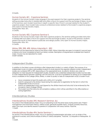3 Credits.

# Human Society 401. Capstone Seminar.

Students in the Human Society major engage in focused research for their capstone projects. The seminar setting provides instruction in related skills and offers a forum for support and the exchange of ideas. As part of the seminar, each student examines in depth a specific New Church concept related to the student's capstone project. Each student also conducts a literature review related to the student's capstone project. Only open to Human Society majors.

Prerequisite: HSoc 301. 3 Credits.

# Human Society 402. Capstone Seminar II.

Students in the Human Society major write their capstone projects. The seminar setting provides instruction in related skills and offers a forum for support and the exchange of ideas. As part of the seminar, students present the results of their research publically and design posters. Only open to Human Society majors. Prerequisite: HSoc 401.

3 Credits.

# History 298, 398, 498. History Internship II. (EE)

Proposals must be approved by head of the history major. History internships are open to students in second year or above who have completed at least two history courses. Description of requirements available from head of major. Course may be repeated for credit. Credit variable.

<span id="page-30-0"></span>Independent Studies

In addition to the listed courses all divisions offer independent studies in a variety of fields. The purpose of an independent study is to allow well-qualified students to study beyond the regularly offered courses. Independent studies are numbered 299 or 399, depending on the appropriate level. Academic divisions are under no obligation to meet requests for independent studies. Students who undertake independent studies must be able to work independently between meetings with the instructor. A full set of guidelines for setting up an independent study is available at the College Office. Briefly, in order to qualify to take an independent study a student must:

- Have completed at least 33 credits with a GPA of 2.7 or better
- Submit a proposal to the division head during the week prior to registration for the term in which the independent study is to occur.
- Submit an independent study card (signed by the division head and instructor) to be reviewed by the Academic Dean (College Office).
- The student and the instructor will complete a syllabus which will be submitted to the office before or during registration.

# <span id="page-30-1"></span>Interdisciplinary Studies

# Interdisciplinary Studies 390. Research Seminar. (IL)

For juniors in the Interdisciplinary Major. Focus on preparing to do the senior essay during senior year. Project management and information literacy: define scope, generate possible topics, analyze scholarly resources, select one topic and identify research questions in cooperation with essay advisor. Pass/Fail. 1 Credit.

# Interdisciplinary Studies 494. Senior Seminar 1.

For seniors in the Interdisciplinary Major. Focus on applying Swedenborgian principles, such as duties of the individual to society, and critical analysis of ethics in various disciplines. Pass/Fail. Co-requisite or Prerequisite: ID 390.

1 Credit.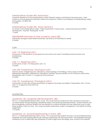#### Interdisciplinary Studies 495. Senior Essay.

Capstone experience for the interdisciplinary major. Research project culminating in the senior essay. Topic chosen by mutual agreement between student and supervisor. Limited to and required of interdisciplinary majors. Pre-requisites: ID 390 & 494. 3 Credits.

Interdisciplinary Studies 496. Senior Seminar II.

For seniors in the Interdisciplinary Major. Public presentation of senior essay. Career planning and portfolio development. Pass/Fail. Prerequisite: ID 495. 1 Credit.

#### 298/398/498 Internships (in their academic areas) (EE)

Individually arranged career related internships. See Director of Internships for details. 3 Credits.

<span id="page-31-0"></span>Latin

# Latin 110. Beginning Latin I.

Introduction to the elements of Latin grammar and syntax to be used in translating classical authors and Swedenborg.

3 Credits.

Latin 111. Beginning Latin II. Continuation of Latin 110. Prerequisite: Latin 110. 3 Credits.

# Latin 250. Swedenborg's Theological Latin I.

Intensive review of Beginning Latin, followed by varied readings in the Writings. Various styles of writing distinguished (expository, philosophical, descriptive, narrative). Special attention to non-Classical constructions. Prerequisites: Latin 110 and 111 or approval of the instructor. 3 Credits.

#### Latin 251. Swedenborg's Theological Latin II.

Continuation of Latin 250. Includes examination of original manuscripts and editions. Prerequisites: Latin 110 and Latin 111 or approval of the instructor. 3 Credits.

# <span id="page-31-1"></span>Leadership

# Leadership 120. Leadership Skill Development. (EE)

This is a 1.5 credit Experiential Education course. The course teaches students the tools necessary to become a successful leader through designing a leadership project and reviewing leadership theories. Students identify and discuss leadership character qualities that are required in an effective leader and then determine ways to build these qualities in their own lives. The course has public presentation, project management, and reflective writing assignments.

1.5 Credits.

#### Leadership 121. Social Entrepreneurship in Action. (EE)

This is a 1.5 credit Experiential Education course. The course teaches students the tools of social entrepreneurship, leadership and team building skills though working in partnership with Feel Good World. The leadership learning is centered on how to effectively raise awareness of world hunger issues and design ways to lead in the nonprofit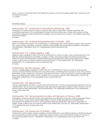sector. Course is conducted inside and outside the classroom. Course has public presentation, teamwork, and final reflective project. 1.5 Credits.

# <span id="page-32-0"></span>**Mathematics**

# Mathematics 101. Introduction to Quantitative Reasoning. (QR)

Introduction to mathematical concepts to improve basic skills in computation, algebra, graphing, and quantitative applications. This course prepares students for other mathematics courses and courses involving quantitative reasoning. Topics include linear modeling, units of measure and currency, and statistical reasoning, and financial topics.

3 Credits.

# Mathematics 102. Understanding Mathematics in Society. (QR)

Review of mathematical topics with an emphasis on understanding why certain patterns appear. Topics include sets, number systems, geometry, and basic statistics and probability. Recommended for students in education and philosophy. Prerequisite: Math 101 or appropriate score on placement test. 3 Credits.

# Mathematics 115. College Algebra. (QR)

Algebraic topics designed to assist in the use of mathematics in science courses. Topics include exponents and radicals, rational expressions, inequalities, complex numbers, polynomial analysis and advanced factoring, rational functions and asymptotes, and quantitative reasoning applications. Because of duplication of subject matter, students may not receive credit for both Mathematics 115 and Mathematics 120. Prerequisite: Mathematics 101 or appropriate score on placement test. 3 Credits.

# Mathematics 120. Pre-calculus. (QR)

Course in college algebra designed to assist in the use of mathematics in science courses by reviewing the behavior of several families of simple and composite functions, and fitting these functions to data. Study of linear, exponential, power, logarithmic, polynomial, and rational functions. Includes quantitative reasoning applications. Because of duplication of subject matter, students may not receive credit for both Mathematics 115 and 120. Prerequisite: Mathematics 101 or appropriate score on placement test. 3 Credits.

# Mathematics 124. Trigonometry.

Course in trigonometric functions. In conjunction with Mathematics 120, this course prepares students for Calculus I (Mathematics 150). One lecture meeting per week. Because of duplication of subject matter, students may not receive credit for both Mathematics 124 and Mathematics 125. Prerequisite: Mathematics 120 or appropriate score on placement test.

1 Credit.

# Mathematics 125. Transcendental Functions with Elements of Calculus. (QR)

Investigation of transcendental functions with applications and elements of calculus, useful in preparing students for a full calculus course. Topics include trigonometric functions, simple derivatives and anti-derivatives, exponential and logarithmic functions, and quantitative reasoning applications. Because of duplication of subject matter, students may not receive credit for both Mathematics 124 and 125. Prerequisite: Mathematics 115 or appropriate score on placement test.

3 Credits.

# Mathematics 130. Introduction to Statistics. (QR)

Introduction to data analysis, random variables and their distributions, and statistical inference. Statistical software used for graphing and data analysis. Independent research project. Recommended for students of business or the social and natural sciences. Prerequisite: Mathematics 101 or appropriate score on placement test. 4 Credits.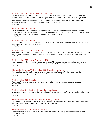#### Mathematics 140. Elements of Calculus. (QR)

Derivatives with applications, exponential functions, integration with applications, and functions of several variables. Not recommended for students pursuing a degree in mathematics, engineering, or the physical sciences. Because of duplication of subject matter, students may not receive credit for both Mathematics 140 and Mathematics 150. Mathematics 140 does not fulfill prerequisite requirements for Mathematics 151. Prerequisite: Mathematics 115 or appropriate score on placement test. 3 Credits.

#### Mathematics 150. Calculus I.

Limits, differentiation, maxima-minima, integration with applications, transcendental functions. Because of duplication of subject matter, students may not receive credit for both Mathematics 140 and Mathematics 150. Prerequisite: Mathematics 125 or appropriate score on placement test. 4 Credits.

# Mathematics 151. Calculus II.

Methods and applications of integration, improper integrals, power series, Taylor polynomials, and parametric equations. Prerequisite: Mathematics 150. 4 Credits.

#### Mathematics 205. History of Mathematics. (IL)

The development of the major mathematical concepts from ancient times to the present, emphasizing topics in the standard undergraduate mathematics curriculum. Prerequisite: Mathematics 125 or Mathematics 150. 3 Credits.

#### Mathematics 230. Linear Algebra. (QR)

Vector spaces, matrices, linear transformations, systems of linear equations, determinants, and eigenvalue problems. Introduction to mathematical proofs. Prerequisite: Mathematics 125 or Mathematics 150. 3 Credits.

#### Computer Science/Mathematics 235. Discrete Structures.

Mathematical foundations for the analysis of computer systems. Recursive functions, sets, graph theory, and combinatorics. Prerequisite: Computer Science 180 or permission of instructor. 3 Credits.

# Mathematics 250. Calculus III.

Functions of several variables, partial differentiation, multiple integration, vector calculus. Prerequisite: Mathematics 151. 4 Credits.

#### Mathematics 311. Ordinary Differential Equations.

Linear, second-order, and systems of differential equations and Laplace transforms. Prerequisite: Mathematics 151.

3 Credits.

#### Mathematics 330. Introduction to Probability Theory.

Probability spaces, random variables, continuous distributions, joint distributions, correlation, and central limit theorems. Prerequisites: Mathematics 151 and Mathematics 230. 3 Credits.

# Mathematics 360. Advanced Calculus.

Formal definitions of limits, continuity, differentiation and integration. Prerequisites: Mathematics 230 and Mathematics 250. 3 Credits.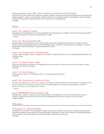# Business/Mathematics 380. Linear Models and Methods for Optimization.

Introduction to basic methods of operations research. Review of linear systems; linear programming, including the simplex algorithm, duality, and sensitivity analysis; formulation of integer programs; transportation and scheduling problems. Prerequisite: Mathematics 230 and competence in programming. 3 Credits.

#### <span id="page-34-0"></span>Music

# Music 100. College Chorale.

Development and performance of choral repertoire from Renaissance to Modern. Instruction in the development of vocal techniques. Course may be repeated for credit. 1 Credit.

# Music 101. Music Ensemble. (EE)

Development and performance of the classical string ensemble repertoire from Baroque to Modern. Private lessons, master classes, performance, and attending concerts. Audition is required. Upon acceptance, students expected to take all three terms. May be repeated for credit. 1.5 Credits.

# Music 110. Introduction to Western Music.

Survey of the composers, styles, and genres from western civilization with a focus on developing listening skills and understanding.

3 Credits.

# Music 113. Music Theory I. (QR)

Study of music theory and harmony, progressing from basic notation to advanced musical structures. Includes styles from the 18<sup>th</sup>-20<sup>th</sup> centuries. 3 Credits.

# Music 114. Music Theory II.

Continuation of Music 113. Prerequisite: Music 113 or permission of instructor. 3 Credits.

# Music 185. Private Music Lessons or Choirs.

Privately arranged music instruction. Instructor provides a written assessment of the student's progress at the end of the term. Private lessons are the financial responsibility of the student. Prerequisite: Consent of division. Course may be repeated for credit. 1 Credit.

# Music 298/398/498. Music Internship. (EE)

Requirements variable. Proposals should be submitted to the Department Chair. Art internships are open to students in sophomore year or above who have completed at least two art, dance, or music courses. Credits variable.

<span id="page-34-1"></span>Philosophy

# Philosophy 101. Critical Thinking.

Development of students' reasoning skills through analysis and evaluation of arguments. Diagraming arguments, identifying mistakes in reasoning, and writing arguments. Emphasis on issues encountered in everyday experience and in courses across the curriculum, primarily through classical deductive logic. 3 Credits.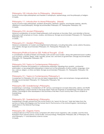#### Philosophy 102. Introduction to Philosophy. (Worldview)

Survey of some major philosophers and theories in metaphysics, epistemology, and the philosophy of religion. 3 Credits.

# Philosophy 111. Introduction to Moral Philosophy. (Moral)

Survey of some major philosophers, problems (Euthyphro, relativism, egoism), and theories (aretaic, deontic, utilitarian) in moral philosophy. Strongly recommended: Philosophy 101. Prerequisite: Philosophy 102. 3 Credits.

# Philosophy 210. Ancient Philosophy.

Historical consideration of ancient Greek philosophy (with emphasis on Socrates, Plato, and Aristotle) or Roman philosophy (with emphasis on Cicero, Aurelius, and Seneca). Strongly recommended: Philosophy 101. Prerequisite: Philosophy 102.

3 Credits.

# Philosophy 211. Modern Philosophy.

Historical consideration of modern and Enlightenment philosophy, including Descartes, Locke, Leibniz, Rousseau, and Voltaire. Strongly recommended: Philosophy 101. Prerequisite: Philosophy 102. 3 Credits.

#### Philosophy/Political Science 220. Political Thought. (Civil)

A consideration of political thinkers and theories, both ancient and modern, along with perennial issues in politics, such as justice, authority, liberty, order, equality, power, law, and forms of government. Strongly recommended: Philosophy 101. Prerequisite: Philosophy 102. 3 Credits.

#### Philosophy 310. Topics in Contemporary Philosophy I.

Exploration of themes and problems in contemporary philosophy. Readings from analytic, continental, postmodern, or neo-pragmatist philosophers in areas such as the philosophy of ethics, politics, language, mind, law, science, religion, or other sub-fields. Strongly recommended: Philosophy 101. Prerequisite: Philosophy 102. 3 Credits.

# Philosophy 311. Topics in Contemporary Philosophy II.

Complement to Philosophy 310, but may be taken independently. Topics and emphases change periodically. Strongly recommended: Philosophy 101. Prerequisite: Philosophy 102. 3 Credits.

#### Philosophy 320. Swedenborg's Philosophy.

Swedenborg's cosmology. Consideration of 18<sup>th</sup>-century cosmological concepts (Descartes, Leibniz, and Wolff) and Swedenborg's unique answers to the issues raised. Particular emphasis on Swedenborg's Principia and the Infinite. Cosmological views developed in the Doctrines of the New Church and by New Church students of Swedenborg.

3 Credits.

# Philosophy 321. Swedenborg's Philosophy.

Swedenborg's thought upward from the human body in his "search for the soul." Main text taken from the sections on Series and Degrees and The Human Soul in *The Economy of the Animal Kingdom*, terminating in applications in *The Rational Psychology*.

3 Credits.

#### Philosophy 331. Organic Forms.

Correspondences of the human body compared with other human organisms: cells, societies, and the mind. Illustrations from natural science, social studies, and psychology. Prerequisite: Philosophy 330, or Philosophy 102 and Philosophy 111 and laboratory science course. 3 Credits.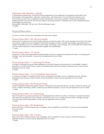#### Philosophy 340. Bioethics. (Moral)

A philosophical exploration of the ethical issues pertaining to the application of biological information and technology to the generation, alteration, preservation, and destruction of human life and aspects of our environment. Issues to be considered include: reproduction, euthanasia, genetic screening and therapy, experimentation with human and animal subjects, bio enhancement, ownership and nature, distributive justice, and integrity in publication.

Prerequisite: Philosophy 102 and any 100-level Biology course. 3 Credits.

# <span id="page-36-0"></span>Physical Education

\*course is a team activity with scheduled practices and contests

#### Physical Education 103. Life and Health.

Introduction to personal and social health problems we all face today. This course provides information that helps the student understand and investigate these health problems further. Scientific knowledge is presented from a variety of disciplines, such as, medicine, psychology, physiology, and sociology. This course fulfills one credit of the two PE credits required for a Baccalaureate degree. Non repeatable. 1 Credit.

#### Physical Education 110. Tennis.

Instruction in basic and intermediate individual skills. Practice in singles and doubles tennis play, including game strategy, rules, and etiquette. Course may be repeated once for credit. 1 Credit.

#### Physical Education 111. Running for Fitness.

A range of walking/running activities designed to develop strength and endurance, for all abilities. Students required to run/walk three times a week in scheduled class time and to keep an exercise log. Course may be repeated once for credit. 1 Credit.

#### Physical Education 112. Competitive Team Sports.

A survey of a range of competitive team sports including for example, soccer, volleyball, lacrosse, ultimate, basketball, floor hockey. Student interest accommodated. Course may be repeated once for credit. 1 Credit.

#### Physical Education 120. Physical Fitness.

Student-designed individual program based on theoretical and practical fitness concepts. Workouts during class twice a week in the fitness center. Cardiovascular element required. Course may be repeated once for credit. 1 Credit.

#### Physical Education 127. Kickboxing.

Basic instruction in a power-punching, non-choreographed martial arts workout. Emphasis on proper technique and execution of skills. Each class includes a total-body warm-up, a cardiovascular workout, strength training, and cool-down/stretching period. Course may be repeated once for credit. 1 Credit.

#### Physical Education 129. Badminton.

Basic instruction in skill techniques, rules, strategies, and competition in badminton. Course may be repeated once for credit.

1 Credit.

#### Physical Education 130. Archery.

Basic instruction in skill techniques, rules, strategies, and competition in bow archery. Enrollment limited to eighteen students. Course may be repeated once for credit. 1 Credit.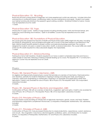#### Physical Education 131. Bicycling.

Road and off-road cycling aimed at beginners, but more experienced cyclists are welcome. Includes instruction and practice in cycling technique, conditioning, safety, bicycle maintenance and repair. Student must supply own helmet and bicycle (minimum five speed) in good working condition. Enrollment limited to twelve. Course may be repeated once for credit. 1 Credit.

#### Physical Education 133. Yoga.

Introduction to yoga course. Variety of yoga (poses) including standing poses, twists and forward bends, armbalancing, back bending and inversions. Open to all abilities. Course may be repeated once for credit. 1 Credit.

#### Physical Education 180. Foundations of Physical Education.

This course gives the prospective teacher of Health and Physical Education (HPE) insight into this area, including the historical, philosophical, and sociological principles with a survey of the latest research and literature in the field. Lifetime health benefits related to proper nutrition and exercise physiology examined. The course in designed for students who plan a career in education, health, or physical education. This course fulfills one credit of the two PE credits required for a Baccalaureate degree. Non repeatable. 1 Credit.

#### Physical Education 211. Distance Running.

Training for a full or half marathon. Students required to run twice a week in scheduled class time and twice a week outside of class time, following a training schedule leading up to a race. Pre-requisite: PE 111 or instructor's approval. Course may be repeated once for credit. 1 Credit.

<span id="page-37-0"></span>Physics

# Physics 180. General Physics I: Mechanics. (QR)

An algebra and trigonometry-based physics course that provides an overview of mechanics, thermodynamics and vibrations, primarily for students interested in majoring in biology (including pre-med), psychology or chemistry, rather than engineering or mathematics. Emphasis is on examples and applications rather than derivations. Credit is only awarded for one of Physics 180 or Physics 210. Pre-requisite: Math 125 or equivalent. Laboratory included.

4 Credits.

#### Physics 181. General Physics II: Electricity and Magnetism. (QR)

Continuation of Physics 180 with an overview of electricity, magnetism, light and optics. Credit is only awarded for one of Physics 181 or Physics 211. Pre-requisite: Physics 180, 210 or equivalent. Laboratory included. 4 Credits.

# Physics 210. Principles of Physics. (QR)

Calculus-based course providing an introduction to rigid body mechanics, gravity, waves, and heat. Problem and laboratory assignments complement the lectures. Co-requisite or Prerequisite: Mathematics 150. Laboratory included.

4 Credits.

# Physics 211. Principles of Physics II. (QR)

Continuation of Physics 210. Calculus-based introduction to classical electricity, capacitance, current, resistance, and circuits. Also magnetism, inductance, electromagnetic oscillations, optics, and introduction to modern physics. Co-requisites or Prerequisites: Mathematics 151 and Physics 210. Laboratory included. 4 Credits.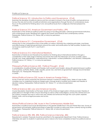#### <span id="page-38-0"></span>Political Science 101. Introduction to Politics and Governance. (Civil)

Examines the discipline of political science and the concepts involved in the study of politics and governance. Surveys the role and function of political institutions and organizations through the lens of contemporary issues. Focus on the potential for thinking about civic and political issues from a religiously-informed perspective. 3 Credits.

# Political Science 210. American Government and Politics. (PP)

Examination of the American political system focusing on founding principles, national governmental institutions, and contemporary issues. Readings from original documents and historical and contemporary authors. Prerequisite: Political Science 101, History 230, or instructor permission. 3 Credits.

#### Political Science 211. Comparative Government. (Civil)

Introduction to the comparative study of the politics of nations. Examines the underlying principles, machinery, and effectiveness of selected governments around the world, and ramifications for their societies. Students may not receive credit for both Psci111 and Psci211. 3 Credits.

# Political Science 212. International Relations.

Examination of historical and theoretical foundations for thinking about international relations through a consideration of the wide range of themes and events that mark the interaction of human societies. Topics include: war, trade, globalization, international law, intervention, nuclear proliferation, and terrorism. Prerequisite: Political Science 101, History 117, or instructor permission. 3 Credits.

#### Philosophy/Political Science 220. Political Thought. (Civil)

A consideration of political thinkers and theories, both ancient and modern, along with perennial issues in politics, such as justice, authority, liberty, order, equality, power, law, and forms of government. Strongly recommended: Philosophy 101. Prerequisite: Philosophy 102. 3 Credits.

#### History/Political Science 232. Issues in American Foreign Policy.

Survey of the last century examines the dominant themes in American foreign policy. Series of case studies considers how to understand American foreign policy through levels of analysis and models and theories of decision making. Prerequisites: Political Science 101, History 117, or instructor permission. 3 Credits.

#### Political Science 260. Law and American Society.

Course Description: Examination of the basic tenets of the American legal system. Introduces basic theories of jurisprudence in the light of New Church teachings as well as other world religions. Surveys the criminal and civil law systems; analyzes the ways in which laws are created and enforced through the court system; explores federal, state, and local legal processes and actors. 3 Credits.

#### History/Political Science 346. Issues in the Contemporary Middle East.

Examination of political and social developments in the greater Middle East in the post-World War II era. Survey of governments and domestic political processes of selected countries as well as key issues currently facing societies of the region. Prerequisite: Political Science 211, History 245, or instructor permission. 3 Credits.

#### Political Science 298, 398, 498. Political Science Internship. (EE)

Requirements variable. Proposals should be submitted to the appropriate Department Chair. Political Science internships are open to students in sophomore year or above who have completed at least two political science courses.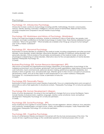# <span id="page-39-0"></span>Psychology

# Psychology 101. Introductory Psychology.

Introduction to basic constructs of psychology including scientific methodology, the brain, consciousness, memory, identity, learning, motivation, intelligence, and the nature of mental illness. Relevant New Church doctrines analyzed and compared to secular theories of psychology. 3 Credits.

# Psychology 102: Worldviews and History of Psychology. (Worldview)

Survey of six major psychological worldviews. Analysis of worldviews in terms of their history, key people, main concepts, and major contributions to the field of psychology in modern times. Three themes addressed for each worldview: "What is the good life?", "What remedies are available when things go wrong for human beings?", and "Is this a Theistic worldview?"

3 Credits.

#### Psychology 201. Abnormal Psychology.

Examination of mental disorders as classified by the medical model, including schizophrenia and other psychotic disorders, mood disorders, anxiety disorders, dissociative disorders, disorders of childhood, eating disorders, and personality disorders. Critical analysis of the principles and philosophy of the medical model, as well as the physiological underpinnings of certain disorders. Alternative views for the conceptualization of mental disorders explored. Prerequisite: Psychology 101.

3 Credits.

#### Business/Psychology 202. Human Resource Management. (PP)

(Also known as industrial and organizational psychology.) Exploration of the application of psychology to the workplace environment, such as business, government, and non-profit organizations. Major areas of study include work motivation, teams and teamwork, personnel decision-making, performance appraisal, leadership, and diversity in terms of gender, race, and personality type. Attention given to New Church concepts of conscience, discriminatory charity, and use as they apply to adult employment in our current workforce. Prerequisite: Psychology 101, a business/economics course, or permission of instructor. 3 Credits.

#### Psychology 203. Personality Theory.

Examination of both classical and current theories of personality. Focus on understanding terms and concepts of personality as well as their application to situational contexts. Prerequisite: Psychology 101 or instructor permission. 3 Credits.

#### Psychology 204. Human Development: Lifespan.

Study of human development, focusing on the most significant changes that occur across the lifespan. Topics include theories of physical-motor, cognitive, language, creative, social, emotional, moral, and spiritual development. Prerequisite: Psychology 101 or instructor permission. 3 Credits.

#### Psychology 205. Social Psychology. (PP)

Study of behavior and cognition in social contexts. Topics include aggression, altruism, influence, love, prejudice, and conformity. Swedenborgian concepts of love, charity, and obedience analyzed. Public Presentation skills emphasized. Prerequisite: Psychology 101 or instructor permission. 3 Credits.

#### Psychology 220. Cognitive Psychology.

Survey of contemporary theories and research concerned with the structure and processes of the mind. The course will view cognitive psychology as the coordinated operation of mental processes within a multi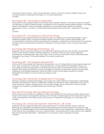component memory system. Topics include attention, memory, the role of emotion, problem solving, and concept formation. Prerequisite: Psychology 101 or instructor permission. 3 Credits.

# Psychology 230. Psychology and Spirituality.

Examinations of psychological research and theories about people's attitudes, motivations, behaviors, thoughts and feelings in a variety of spiritual settings. Investigations of how therapists address spiritual matters in counseling sessions. Consideration of the psychological experience of the Swedenborgian belief in the afterlife, regeneration, charity, conscience, and the relationship between God and humans. Prerequisite: Psychology 101.

3 Credits.

#### Psychology 301. Counseling and Clinical Psychology.

Examination of psychological theories that inform the skills of counselors and clinical psychologists in various professional settings. Topics include psychological theories, the roles of the counselor, listening skills, case conceptualization, treatment methods and intervention strategies. Consideration of what it means to incorporate individual values and spirituality into treatment. Prerequisite: Two psychology courses or instructor permission. 3 Credits.

# Psychology 305. Physiological Psychology. (IL)

Exploration of the neural basis of behavior and motivation. Emphasis on the structure, functions and disorders. Topics include memory, emotion, learning, addictions, conscience, states of mind, and self-regulation. Consideration of Swedenborgian view of the brain, mind, and the soul. Information Literacy skills emphasized. Prerequisite: Psychology 101 and either Biology 122 or instructor permission. 3 Credits.

# Psychology 307. Psychological Measurement.

Introduction to the principles that underlie the development, use, and interpretation of psychological assessment tools. Topics include: Test construction, survey development, scoring, assessment interpretation issues, and psychological assessment applications in industrial, educational, clinical, and research setting. Students will examine the potential and limitations of tests of intelligence, aptitude, achievement, interest, and personality. Additionally, psychological assessment will be discussed in terms of social, legal, and ethical concerns. Prerequisite: Psychology 101 and two other psychology courses. 3 Credits.

# Psychology 320. Introduction to Experiments in Psychology.

Introduces students to experimental design in psychology with careful attention to terminology, methodology, strengths, and limitations of research. Additionally, students are exposed to classic experiments in the areas of social, abnormal, cognitive, developmental, and neuropsychology. Serves as precursor to the Psychology Capstone and should be completed spring term of junior year. Pass/Fail. 1 Credit.

#### Education/Psychology 340. Educational Psychology.

Study of secular psychology as it is applied to children and adolescents in the classroom setting. Major areas of study include classroom management, learning, and motivation. Swedenborgian doctrines include innocence, charity, development of the rational mind, and conscience. Prerequisite: Psychology 101 or Education 128. 3 Credits.

# Psychology 341. Human Development: Adult Altruism. (EE, Moral)

Exploration of psychological theories about moral development, character strengths, altruism, optimism, flourishing, flow, generosity and spiritual maturity. Major emphasis on the states of adults over 18 years of age. Examination of Swedenborgian doctrinal principles regarding adult human development: regeneration, opening of the rational mind, developing a new will, acquiring wisdom, and leading a life of useful service to the neighbor. Ethical reasoning skills emphasized. Prerequisite: Two psychology courses. Laboratory included. 4 Credits.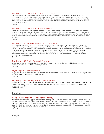# Psychology 380. Seminar in Forensic Psychology.

Covers topics related to the application of psychology to the legal system. Topics include criminal motivation, deception, violence, sociopathy, mental illness and crime, gang behavior, effects of substance abuse, and gender differences in criminals. Includes a Swedenborgian perspective on conscience and moral/spiritual motives. Prequisite: Students must be accepted psychology majors, psychology interdisciplinary majors, or psychology minors at the junior level of study. Applied.

3 Credits.

# Psychology 382. Seminar in Death and Dying.

Introduces students to the growing field of death and dying in psychology. Explores context and meanings of death, ethical decision-making at the end of life, constructs of bereavement, end of life counseling, and special populations to include pediatric death, celebrity death, near-death experiences, and traumatic bereavement. Prerequisite: Students must be accepted psychology majors, psychology interdisciplinary majors, or psychology minors at the junior level of study. Clinical.

3 Credits.

# Psychology 490. Research Methods in Psychology.

First capstone course for the psychology major. The investigation of psychology as a science with a focus on the qualitative and quantitative approaches to research in the area of psychology. It examines strategies for establishing validity in descriptive, relational, and experimental design in the framework of ethical research. Emphasis will be placed on critical reading and analysis of previously published scientific research. Students receive practice in designing, conducting, analyzing, interpreting the results of research studies, and writing reports in APA style. Students prepare proposal for Senior Essay. Prerequisites: Psychology 101, Psychology 320, and Mathematics 130. Students must be accepted psychology majors.

3 Credits.

# Psychology 491. Senior Research Seminar.

Capstone for seniors in the psychology major. Independent work on Senior Essay guided by an advisor. Information Literacy and Writing Skills emphasized. 3 Credits.

# Psychology 492. Senior Seminar.

Capstone for seniors in the psychology major. Public presentation. Critical analysis of ethics in psychology. Career planning and portfolio development. Pass/Fail. 1 Credit.

# Psychology 298, 398. Psychology Internship. (EE)

Proposals must be approved by the head of the Psychology area. Psychology internships are open to students in sophomore year or above who have completed two psychology courses. Requirements are available from director of internships. Credit variable.

# <span id="page-41-0"></span>Reading

# Reading 100. Reading for Academic Literacy.

This course is intended to support the analytical reading skills necessary for entry level college courses. Emphasis will be on developing comprehension through structural analysis, vocabulary development and fluency practice using selected works of fiction and non-fiction. This course will assist native and non-native speakers in successfully applying this knowledge to other academic disciplines. Use of publisher produced CAI. This course partners with English 100. Core support for Information Literacy. 3 Credits.

<span id="page-41-1"></span>Religion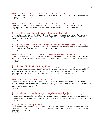# Religion 101. Introduction to New Church Doctrines. (Doctrinal)

Foundation course. Basic survey of the doctrines of the New Church. Presupposes little or no formal background in the study of the doctrines.

3 Credits.

# Religion 102. Introduction to New Church Doctrines. (Doctrinal, EEC)

Continuation of Religion 101, with special emphasis on the doctrines of the New Church as they relate to marriage, the reading of the Word, and a life of useful service. Religion 101 is not a prerequisite. 3 Credits.

#### Religion 110. Introduction to Systematic Theology. (Doctrinal)

A comprehensive overview of New Church doctrine. Emphasis on core doctrines of the Lord, faith and charity, the Word, the afterlife, the mind, Divine providence, judgment, and marriage. Presupposes a moderate familiarity with New Church teachings. 3 Credits.

# Religion 115. Introduction to New Church Doctrine on Life after Death. (Doctrinal)

New Church teachings on the life after death studied in their own context and the context of the near-death experience and the history of eschatology. Text: *Heaven and Hell.*

3 Credits.

# Religion 123. Introduction to the Old and New Testaments. (Scriptural)

Introduction to the various parts of the Bible, the history of the Israelites and Jews, the geography of Palestine, with an emphasis on the different methods of biblical interpretation, with special emphasis on New Church interpretation.

3 Credits.

# Religion 125. The Holy Scripture. (Doctrinal)

The symbolic nature of the Word and the spiritual meaning within. The importance of the literal meaning and its interpretation. The Word in heaven and the church. Dual expressions in the Word. Heresies. The Lord and the Word. The Word in very ancient times. The universal church. The necessity of revelation. Illustrations drawn throughout from the Old and New Testaments. Text: *The Doctrine of the Sacred Scripture*. 3 Credits.

# Religion 205. God, Man, and Creation. (Doctrinal)

Study of how the Lord created the spiritual and natural worlds, with emphasis on humans as the purpose of creation. Vital relationships between the Creator and His creation, with the special role played by humans. Focus on teaching about form, order, degrees, influx, and conjunction. Text: *Divine Love and Wisdom*. 3 Credits.

# Religion 210. Divine Providence and Human Prudence. (Doctrinal)

The laws and fundamental principles by which the Lord governs creation. How the Lord removes evil from people while preserving their freedom. How the Lord brings good out of evil. Eternal life as the goal of providence. How providence uses natural conditions to serve this end. Why providence operates in secret. Text: *Divine Providence*. 3 Credits.

# Religion 215. The Lord. (Doctrinal)

Introduction to New Church teachings about the Lord. Who is the God of the Biblical testaments? What was Jesus Christ's life on earth about? Special focus on seeing the Lord in the Scriptures, in scholarship, and in the teachings for a New Church.

3 Credits.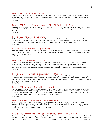# Religion 220. The Torah. (Scriptural)

Detailed study of Genesis to Deuteronomy in their historical and cultural context. Discussion of translations, certain critical theories, and other related ideas. Treatment of the literal meaning in relation to its higher meanings and other doctrinal considerations.

3 Credits.

# Religion 221. The Histories and Prophets of the Old Testament. (Scriptural)

Detailed study of Joshua to 2 Kings, Psalms, and Prophets viewed in their historical and cultural context. Discussion of the difference between prophesy and history, relevance to modern life, and the significance of the literal meaning.

3 Credits.

# Religion 222. The Gospels. (Scriptural)

Detailed study of the four individual Gospels with attention to similarities and distinctions, historical context, and relationship to the Old Testament. Examination of the literal meaning and its significance to the modern life. Special attention to the nature of the First Advent and the testimony concerning Jesus Christ. 3 Credits.

# Religion 223. The Apocalypse. (Scriptural)

The Last Judgment on the human race, with analogy to spiritual crisis in the individual. The spiritual functions and impact of imagery in the book of Revelation and in the memorable relations in the Apocalypse Revealed. Text: *The Apocalypse Revealed*.

3 Credits.

# Religion 260. Evangelization. (Applied)

Introduction to the doctrine of evangelization, the philosophy and application of Church growth principles, and practical instruction in how to present the doctrines to inquirers. Exploration of the changing values of Western culture and the ways the Church can effectively respond to a new generation of seekers. The purpose and process of evangelization, and how to share the teachings of the New Church with confidence and care. 3 Credits.

# Religion 270. New Church Religious Practices. (Applied)

Both doctrinal study and practical application of teachings relating to New Church religious practices, using the Old and New Testaments and the theological Writings of Emanuel Swedenborg as source material. Special focuses on daily reading of the Word and prayer, on private and public worship, on the steps of repentance, and on the use and importance of Holy Supper. 3 Credits.

# Religion 271. Moral and Spiritual Life. (Applied)

Various approaches to morality. The spiritual foundation of moral virtues and moral living. Consideration of civil, moral, and spiritual questions dealing with both individual and institutional conduct, such as revolution and the rule of law, the relation of church and state, spiritual and natural freedom, war, race relations, ethics in business and labor, the use of alcohol and drugs, and responsibility for others. 3 Credits.

#### Religion 272. Advanced Religious Ethics. (Applied)

Advanced study of the Ten Commandments as they appear in the religious writings of Hinduism, Buddhism, Judaism, Christianity, Islam, and other world faiths. Study of the literal and spiritual level of each commandment using selected texts from sacred and secular sources. Students encouraged to draw connections between the various levels of the commandments and their own lives. 3 Credits.

# Religion 273. Religion and Marriage I. (Doctrinal, Applied) (Rel273w is W)

New Church doctrine concerning marriage. Includes the Divine origin of marriage; the nature of masculinity and femininity; the state of married partners after death; betrothals and weddings; separation and divorce; adultery, fornication and other sexual disorders; the role of the Ten Commandments in marriage. Responding to states of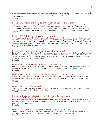discord, coldness, and other problems in marriage. Adultery and other sexual disorders. Consideration of romantic passion, physical relations, birth control, repeated marriages, non-monogamous lifestyles, homosexuality. Text: *Conjugial Love*. 3 Credits.

# Religion 275. Theory and Practice of New Church Education. (Applied)

Applied religion course on fundamental principles of New Church education and teaching religion to elementary or secondary students. For early childhood education majors, students considering going to theological school, and students interested in having a personal background in New Church educational principles and practices. Required for all ECE majors. Lab period included. Prerequisites: Rel. 101 or 110; Rel. 123 and 220 recommended. 4 Credits.

# Religion 278. Religion and Marriage II. (Applied)

A continuation of Religion 273 with a focus on contemporary marriage education and relationship enhancement programs. Several of the most influential programs will be studied in the light of teachings from Conjugial Love, including the work of John Van Epp (preparation for marriage), John Gray (masculine/feminine differences), John Chapman (languages of love) and Tony Robbins (six human needs). Taking Religion 273 prior to Religion 278 is strongly recommended but not required. 3 Credits.

# Religion 283. Pre-Christian Religious History. (Comparative)

Survey of the history of pre-Christian religions emphasizing the rise, development, and fall of religions from ancient times to Biblical Israel. Topics include the character of revelation and the response to it in each successive religion, the origin of mankind, the origin of evil, and the rise of monogamy and polygamy, of monotheism and polytheism, and of idolatry in the ancient world. 3 Credits.

# Religion 284. Christian Religious History. (Comparative)

Thorough grounding in Christian history. Survey of the personalities, theological and doctrinal issues, and events of Christianity. Christian divisions and present world-impact. Comparison with New Church perspective. 3 Credits.

# Religion 293. Comparative Contemporary Religions. (Comparative)

Survey of world religions as they are practiced today. Religions studied include Hinduism, Buddhism, Judaism, Christianity, Islam, and the New Church. This course includes three required week-end field trips to various religious centers.

3 Credits.

# Religion 295. Islam. (Comparative)

Study of Islam: Muhammad and the origins of Islam, the Qur'an and Hadith, theology and practices, sects and schools. Comparison with New Church perspective. 3 Credits.

# Religion 296. Eastern Religious Thought/Hinduism. (Comparative)

Introduction to Eastern Religious Thought with a focus on the *Bhagavad Gita*, considered one of the most revered of the Hindu scriptures, and one of the most important religious classics in the world. Course includes an in-depth study of the literal and symbolic levels of the *Gita*, a comparison with Western thought in general and with New Church thought in particular.

3 Credits.

# Religion 305. Universal Doctrines of the New Church I. (Doctrinal)

Systematic survey of the universal theology of the New Church: God the Creator, the Lord the Redeemer, the Holy Spirit, the Holy Scripture and Ten Commandments, and Faith. Text: *True Christian Religion*. 3 Credits.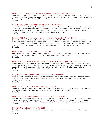# Religion 306. Universal Doctrines of the New Church II. (W, Doctrinal)

Continuation of Religion 305. Topics include faith, charity, free will, repentance, reformation and regeneration, imputation, baptism, and the holy supper. Special focus on the Second Advent and the New Church: what does God's coming entail? Text: The True Christian Religion. 3 Credits.

# Religion 310. Studies in Arcana Coelestia. (W, Doctrinal)

Study of Emanuel Swedenborg's first publication of theology for a New Church. The course provides an overview of the work's spiritual exegesis of Genesis and Exodus--from the first mythopoeic stories of creation to the Israelites' escape from slavery in Egypt. Special focus on the Abram story and how the narrative of Jehovah's call to humankind contains an ancient picture of our relationship with a Human God. 3 Credits.

# Religion 311. Continuation of Studies in Arcana Coelestia (W, Doctrinal)

Study of Emanuel Swedenborg's first publication of theology for the New Church. The course provides an overview of the work's spiritual exegesis of Genesis and Exodus-from the first mythopoeic stories of creation to the Israelites' escape from slavery in Egypt. Special focus on the Jacob story, the Moses story, and how the narrative of Jehovah's call to humankind contains an ancient picture of our relationship with a Human God. 3 Credits.

# Religion 315. The Spiritual World. (W, Doctrinal)

The nature, structure, life, and phenomena of the spiritual world. Consideration of the philosophical implications of the creation of that world and consideration of other beliefs about heaven and hell. 3 Credits.

# Religion 320. Judgment, Providence, and Human Society. (PP, Doctrinal, Applied)

Study of the spiritual process of judgment, both personal and societal, and the roles human choice and Divine Providence play in judgment. Attention given to the role of judgment in human history, the judgments that have occurred, and the changes judgment brings. The books of the Heavenly Doctrines Last Judgment and Continuation of the Last Judgment will be read in full. 3 Credits.

# Religion 335. The Human Mind. (Rel335 W is W, Doctrinal)

Study of what the doctrines of the New Church teach about the structure and function of the human mind and how it relates to the brain. The discrete degrees of the mind. The faculties of will and understanding, their relationship and interplay.

3 Credits.

# Religion 370. Topics in Applied Theology. (Applied)

Content may vary from year to year. Consideration of the light shed by the doctrines of the New Church on the ethical and underlying philosophical concerns of different areas of study and occupations. 3 Credits.

# Religion 380. History of New Church Doctrine. (IL, Doctrinal)

Seminar in the development of doctrinal thought in the history of the New Church. Considerations of various and divergent interpretations. The evolution of ideas and their impact on the Church. Reflection on the intellectual heritage of the Church from an historical perspective. Extensive research in New Church collateral literature. 3 Credits.

# Religion 490. Religion Senior Project I.

For religion majors. One term is required. May be repeated for a second term with the consent of the division head.

3 Credits.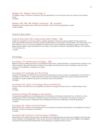#### Religion 491. Religion Senior Project II.

For religion majors. One term is required. May be repeated for a second term with the consent of the division head.

3 Credits.

# Religion 298, 398, 498. Religion Internship. (EE, Applied)

Proposals must be approved by the head of division. Course may be repeated for credit. Credit variable.

# <span id="page-46-0"></span>Science Education

# Science Education 290. Science Education Project. (EE)

Under the supervision of a faculty advisor, students develop a hands-on science project for the purpose of teaching scientific practices and data analysis to elementary or secondary school students. The class meets once per week for 2 hours, but times are flexible to interface with school schedules. Grading is based on teamwork, project effectiveness, report (published on the web), and student notebook. Prerequisite: Biology 120, Chemistry 110, or Physics 210.

1 Credit.

# <span id="page-46-1"></span>Sociology

# Sociology 110. Introductory Sociology. (QR)

Research project utilizing techniques of participant observation, experimentation, survey/interview methods, and data analysis to discover the basic concepts of sociology and the study of human societies: social structure, culture, and socialization. Laboratory included. 4 Credits.

#### Sociology 212. Marriage and the Family.

Analysis of marriage and the family as fundamental institutions of human society. An exploration of the history of marriage and the family, as these institutions moved from traditional patterns focused on family dictates and necessity to modern patterns focused on individual choice and freedom. 3 Credits.

#### Sociology 218. Topics in Sociology: Race and Ethnicity.

Survey of race and ethnicity as a recognized sub-field in sociology and key factor in understanding human society.

3 Credits.

#### History/Sociology 290. Religious Movements.

Comparative exploration of the development of Christianity in the Roman World (40 A.D. to 350 A.D.) to the development of New Christianity in Western Europe and America (1757-present). The history of these two movements will be used to understand the sociological factors that contributed to their development. 3 Credits.

#### Sociology 321. History of Social Theory.

Exploration of the context of the development of social theory with particular attention to the different nature of the roots of theory in Europe and America. 3 Credits.

#### Sociology 340. Seminar in the Sociology of Religion.

Exploration of the relationship between the ideational and organizational components of religion and the major social variables, including gender, class, power, race and nationality. Historic and current religions and religious movements examined both theoretically and empirically, including the New Church.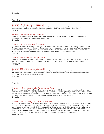3 Credits.

# <span id="page-47-0"></span>Spanish

#### Spanish 101: Introductory Spanish I

Introduction to the Spanish language for students without previous experience. Emphasis is placed on communication and the foundations of Spanish grammar. Spanish is the language of instruction. 3 Credits.

#### Spanish 102: Introductory Spanish II

Continuing introduction to the Spanish language. Prerequisite: Spanish 101 or equivalent as determined by placement test. Spanish is the language of instruction. 3 Credits.

#### Spanish 201: Intermediate Spanish I

Intermediate Spanish is designed to build upon a student's prior Spanish education. The course concentrates on four skills areas: listening, speaking, reading and writing, and is augmented by a wide array of cultural readings and film selections. The grammatical focus is the use of the preterite and imperfect verb tenses. Prerequisite: Spanish 102 or equivalent as determined by placement test. Spanish is the language of instruction. 3 Credits.

#### Spanish 202: Intermediate Spanish II

Continuing intermediate Spanish. This course focuses on the use of the subjunctive and advanced past verb tenses. Prerequisite: Spanish 201 or equivalent as determined by placement test. Spanish is the language of instruction.

3 Credits.

#### Spanish 203. Intermediate Spanish III.

Builds an awareness of our Latin American neighbors by viewing selected aspects of their culture and current developments, with accompanying readings, discussions, and writing activities for the advanced intermediate. Films and guest speakers. Prerequisite: Spanish 202. 3 Credits.

<span id="page-47-1"></span>**Theater** 

#### Theater 110. Introduction to Performance Arts.

Study and practice of elementary acting, movement, and voice skills. Students examine verbal and nonverbal communication in solo and group performance, along with scene and script analysis. Improvisation and work on studied pieces, leading to a final performance. Study of the history and philosophy of performance styles from the ancient Greeks to the Elizabethans and modern theorists (Stanislavski, Artaud, Brecht, et. al.). 3 Credits.

#### Theater 120. Set Design and Production. (EE)

Hands-on introduction to scene design and production. Overview of the elements of scene design with emphasis on the process of designing a set. Research, sketching, drafting, model building, color application, and actual set construction within a budget. Students required to understand and use all of the equipment in the theater as it pertains to the design and will work with the play's director using the Mitchell Performing Arts Center as the classroom and will participate as a member of the run-crew for the winter Bryn Athyn College production. Final project involves the construction of the actual set. Course may be repeated once for credit. Credit variable.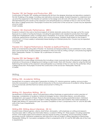# Theater 130. Set Design and Production. (EE)

Continuation of Theater 120: building and dressing the set from the designer drawings and elevations created in the fall. Finalizing of the design, including color elevations and prop design. Students required to understand and use all of the equipment in the theater as it pertains to the design and will work with the play's director using the Mitchell Performing Arts Center as the classroom and will participate as a member of the run-crew for the winter Bryn Athyn College production. Final project involves the construction of the actual set. Course may be repeated once for credit.

Credit variable.

# Theater 150. Dramatic Performance. (EEC)

Students involved in the casts or technical aspects of certain dramatic productions may sign up for this course. Exposure to a variety of acting techniques, including the specialized work needed for productions that might range from Shakespeare's plays, to foreign plays in translation, to musicals. Script analysis, oral interpretation of character, performance movement, dance, and vocal techniques. Variable credit based on the student's involvement. 5-12 hours weekly in rehearsals/classes leading to a finished production. Course may be repeated once for credit.

1-3 Credits.

# Theater 210. Original Performance: Theater as Spiritual Practice.

Builds on fundamental acting skills of Theater 110. Examines archetypal patterns found worldwide in myths, stories, plays and sacred ritual. Students explore archetypes in their own lives by writing, acting in, and producing original plays. Prerequisite: Theater 110, Theater 120, or permission of instructor. 3 Credits.

#### Theater 220. Set Design II. (EE)

Further practice in scene design and production including a more nuanced study of the elements of design with emphasis on the process of designing and making a scale model. Work with the play's director using the Mitchell Performing Arts Center as the classroom and participation as a member of the run-crew for the winter Bryn Athyn College production. Final project involves the construction of the actual set. Prerequisite: Thea120. 3 Credits.

# <span id="page-48-0"></span>Writing

# Writing 100. Academic Writing.

Development of academic writing skills in preparation for Writing 101. Intensive grammar, spelling, and punctuation instruction and practice, in conjunction with an introduction to the structure and process of academic writing. Required only for provisionally admitted freshman before advancement to Writing 101. 3 Credits.

# Writing 101. Expository Writing. (W, IL)

Development of informative, critical, and persuasive writing. Emphases on grammatical control, precision of language, consideration of audience, rhetorical strategies, revision, information literacy, and articulation, development, and support of thesis. Three to five formal essays total, including substantial revision. Individual conferences with instructor to discuss student's writing. Required of first year students. Non-native speakers of English take Writing 101 sophomore year. Successful completion of the IL components of Wr 101 and Wr 202 fulfills one of the Core IL requirements.

3 Credits.

# Writing 202. Writing About Literature. (W, IL)

Analytic study of literary genres—drama, short fiction, and poetry—with emphases on writing and research. Assumes basic skills in writing and information literacy covered in Writing 101. Three papers, including substantial revision. One longer paper and its research process require locating, evaluating, and incorporating multiple secondary sources. Individual conferences with instructor to discuss student's writing. Required of sophomores. Prerequisite: Writing 101. Successful completion of the IL components of Wr 101 and Wr 202 fulfills one of the Core IL requirements.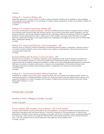3 Credits

#### Writing 211. Creative Writing. (W)

Workshop approach to various forms of creative writing. Individual conferences in addition to class meetings. Class selection and publication of an anthology of student writing. Prerequisite: Grade of B or better in Writing 101, or permission of instructor. 3 Credits.

Writing 212: Creative Nonfiction Writing (W)

A study of contemporary creative nonfiction—the use of traditional literary devices to express factual content. This workshop-style course includes the creative memoir, the humorous anecdote, artistic biography, and the personal interview. We will also address imaginative text-messaging, effective emailing and the art of blogging. Students will read representative writers, critique each other's papers, and learn about the ethics of public discourse, especially in relation to the opportunities and challenges of the digital revolution and the World Wide Web. Prerequisite: Writing 101.

3 credits.

# Writing 213. Advanced Rhetoric and Composition. (W)

Intensive study of writing for students interested in developing rhetorical skills in composition. Attention both to concepts of classical rhetoric and to issues arising in the context of contemporary cultural environments and communications practices.

3 Credits.

# Business/Writing 220. Business Communications. (W)

Business Communications is a workplace-oriented course designed to help students develop and refine the written and oral skills necessary to communicate effectively in professional settings. Students will review the purpose and style of business writing and complete a variety of focused writing exercises based on actual work settings and scenarios. Students will also plan, compose and analyze letters, memoranda and electronic messages; prepare and present brief oral presentations, collaborate with others and revise business communication.

3 Credits.

# Writing 311. Advanced Creative Writing Workshop. (W)

Workshop for in-depth study of the craft of writing. Students will concentrate on one genre (poetry, fiction, or drama) and produce a polished portfolio of their work. Workshop sessions provide opportunity for rigorous and supportive feedback on works in progress with the goal of helping class members produce their best writing. Prerequisite: Writing 211 or 213.

3 Credits.

# <span id="page-49-0"></span>Graduate Courses

<span id="page-49-1"></span>Master of Arts in Religious Studies Courses

<span id="page-49-2"></span>Core Courses

#### Church History 585. Modern Church History 1750 to the Present.

A study of the Christian Church in the wake of the Last Judgment, covering the modern and postmodern eras, examining theological and institutional trends of churches in response to the development of science and philosophy in the light of the increase of freedom of thought and action in Western culture. Guiding questions for the course ask, "How has the Last Judgment affected the continued development of the Christian Church?", and, "Can the Christian Church remain relevant in the trajectory of the modern era?" 3 Credits. Lecture.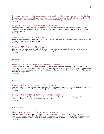# Religious Studies 510: Methodological Approaches to Religious Studies-An Introduction.

This course is an introduction to three research methods that are of value in investigating topics in religious studies. The three are: scriptural hermeneutics, historical methods, and sociological methods. 3 Credits.

#### Religious Studies 550: Swedenborg's Life and Times.

Exploration of the Swedish context of Swedenborg's intellectual and spiritual development, his call, and his revelatory works. Examines the geography, history, culture, and society of Sweden and the Baltic world in the eighteenth century.

3 Credits.

# Theology 514: Doctrine of the Lord.

The essential nature of the Divine, the incarnation and glorification, the Lord's temptations and presence with the human race through the Divine Human. 3 Credits.

#### Theology 518: Doctrine of the Word.

The nature of inspiration and revelation, including the structure and interrelationship of the Old Testament, New Testament and the Writings, and the role of the literal and spiritual sense. 3 Credits.

<span id="page-50-0"></span>English

#### English 510: Chaucer and Medieval English Literature.

Study of Chaucer as the major literary figure and influence from medieval English literature. Chaucer and his major works against the background of Anglo-Saxon and Norman culture and against fourteenth-century literary and religious movements as presented in such works as: Sir Gawain and the Green Knight, The Wyclif Bible, and The Book of Marjory Kempe.

3 Credits.

<span id="page-50-1"></span>**History** 

#### History 515: Seminar on the Age of Enlightenment.

Exploration of the leading intellectual, socio-cultural, and political developments in Europe between the end of the Wars of Religion and the French Revolution (1648 and 1789). Focus on the rise of the modern. 3 Credits.

# History 530: Twentieth Century American History Seminar.

Selected topics affecting twentieth-century American society. Potential topics include foreign policy; economic, social, and political change; and wars of the 20th century. 3 Credits.

#### <span id="page-50-2"></span>Philosophy

#### Philosophy 510. Topics in Contemporary Philosophy I.

Exploration of themes and problems in contemporary philosophy. Readings from analytic, continental, postmodern, or neo-pragmatist philosophers in areas such as the philosophy of ethics, politics, language, mind, law, science, religion, or other sub-fields. Strongly recommended: Philosophy 101. Prerequisite: Philosophy 102. 3 Credits.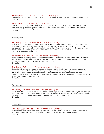# Philosophy 511: Topics in Contemporary Philosophy II.

Complement to Philosophy 510, but may be taken independently. Topics and emphases change periodically. 3 Credits.

# Philosophy 521. Swedenborg's Philosophy.

Swedenborg's thought upward from the human body in his "search for the soul." Main text taken from the sections on Series and Degrees and The Human Soul in The Economy of the Animal Kingdom, terminating in applications in The Rational Psychology.

3 Credits.

# <span id="page-51-0"></span>Psychology

# Psychology 501: Counseling and Clinical Psychology.

Examination of psychological theories that inform the skills of counselors and clinical psychologists in various professional settings. Topics include psychological theories, the roles of the counselor, listening skills, case conceptualization, treatment methods and intervention strategies. Consideration of what it means to be a New Church therapist. Students participating in the optional lab will receive the fourth credit. 3 Credits/4 Credits with optional lab.

#### Educational Psychology 540: Education Psychology.

Study of secular psychology as it is applied to children and adolescents in the classroom setting. Major areas of study include classroom management, learning, and motivation. New Church doctrines include innocence, charity, development of the rational mind, and conscience. 3 Credits.

#### Psychology 541: Human Development: Adult Altruism.

Exploration of historical and contemporary psychological theories about moral development, character strengths, altruism, optimism, flourishing, flow, generosity and spiritual maturity. Major emphasis on the states of adults over 18 years of age. Examination of New Church doctrinal principles regarding adult human development: regeneration, opening of the rational mind, developing a new will, acquiring wisdom, and leading a life of useful service to the neighbor.

3 Credits.

# <span id="page-51-1"></span>Sociology

# Sociology 540: Seminar in the Sociology of Religion.

Exploration of the relationship between the ideational and organizational components of religion and the major social variables, including gender, class, power, race and nationality. Historic and current religions and religious movements examined both theoretically and empirically, including the New Church. 3 Credits.

# <span id="page-51-2"></span>**Theology**

#### Theology 505: Universal Doctrines of the New Church I.

Systematic survey of the universal theology of the New Church: God the Creator, the Lord the Redeemer, the Holy Spirit, the Holy Scripture and Ten Commandments, and Faith. Text: True Christian Religion. 3 Credits.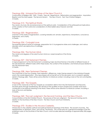# Theology 506: Universal Doctrines of the New Church II.

Continuation of Religion 505. Faith. Charity. Free will. Repentance. Reformation and regeneration. Imputation. Baptism and the Holy Supper. The Second Advent. The New Church. Text: True Christian Religion. 3 Credits.

#### Theology 515: The Spiritual World.

The nature, structure, life and phenomena of the spiritual world. Consideration of the philosophical implications of the creation of that world and consideration of other beliefs about heaven and hell. 3 Credits.

#### Theology 520: Regeneration.

Overview of the states of regeneration, covering heredity evil, remains, repentance, temptations, conscience, forgiveness, and charity.

3 Credits.

#### Theology 524: Conjugial Love.

The essential spiritual nature of marriage, preparation for it, its progressive states and challenges, and various disorders which are destructive of marriage. 3 Credits.

#### Theology 526: The Human Mind.

The nature and degrees of the adult human mind as a vessel receptive of the Divine. 3 Credits.

# Theology 527: Old Testament Themes.

A topical approach to the Old Testament considering major doctrinal themes in the letter of different books of the Old Testament, different styles within these books, the context of this revelation, and historical issues related to the Old Testament texts.

3 Credits.

# Theology 528: New Testament Themes.

The characters of the Four Gospels, their inspiration, differences, major themes present in the individual Gospels and in the overall dispensation. (The Apocalypse will not be left out of this discussion, but is covered in greater detail in Theology 668.) There will be some attention to historical context, including a look at the Acts and Epistles. 3 Credits.

# Theology 530: The Gospels.

A look at the character of the Four Gospels as a revelation distinct from the Old Testament and Heavenly Doctrine given through Swedenborg. We will look at the qualities of each Gospel and consider what each contributes to the spiritual meaning of the Word. There will be some attention to historical context, including a look at the Acts and Epistles.

# 3 Credits.

#### Theology 540: The Last Judgment, the Second Coming, and the New Church.

Consummation of the first Christian Church. The process of the Last Judgment. The Second Coming and its relation to the Doctrines of the New Church. The New Church and True Christianity. 3 Credits.

#### Theology 570: Studies in the Arcana Coelestia.

Introduction to the celestial, spiritual and spiritual-historical meanings of the Word. The ancient churches. The representation of Abraham, Isaac, and Jacob. The Exodus. This course aims for a general knowledge of the first published works of the Doctrines of the New Church, and includes selected readings of approximately 500 pages. 3 Credits.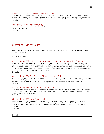# Theology 580: History of New Church Doctrine.

Seminar in the development of doctrinal thought in the history of the New Church. Considerations of various and divergent interpretations. The evolution of ideas and their impact on the Church. Reflection on the intellectual heritage of the Church from an historical perspective. Extensive research in New Church collateral literature. 3 Credits.

# Theology 599: Independent Study.

An opportunity to explore subject matter which is not covered in the curriculum. Based on approval and availability of faculty.

3 Credits.

# <span id="page-53-0"></span>Master of Divinity Courses

The administration will make every effort to offer the courses listed in this catalog but reserves the right to cancel courses if necessary.

# <span id="page-53-1"></span>Church History

# Church History 682. History of the Most Ancient, Ancient, and Israelitish Churches.

A study of the doctrinal teachings concerning the pre-Advent churches; their rise and fall, with emphasis on the human states of reception and the operations of the Lord in reference to those states in each of the churches. Their sequence is examined in such a way as to illustrate spiritual fullness, despite the recurrent introduction of evil into those churches by men. Special emphasis is laid upon the subject of correspondences and representatives, and their central significance in every church. Seminar. 3 Credits.

# Church History 684. The Christian Church: Rise and Fall.

Growth of the Christian Church from its primitive beginnings through its decline, the Reformation through modern developments. Emphasis is on the history of the various teachings of the Lord, and how these both reflected the times they were devised in, and how they have impacted the development of the Church. Seminar. 3 Credits.

# Church History 686. Swedenborg's Life and Call.

A brief survey of Swedenborg's life and preparation to receive the new revelation. A more detailed examination of his transition period (1743-1748). The writing and publication of Swedenborg's theological Writings and public response during his life. Seminar. 3 Credits.

# Church History 687. New Church History.

Chronological and topical study of the rise and early development of the New Church in Europe and North America. The rise of the Academy movement and the development of the General Church of the New Jerusalem. Consideration of selected issues in modern church history. Emphasis on the history of doctrine. Seminar.

4 Credits.

# <span id="page-53-2"></span>**Homiletics**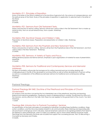#### Homiletics 911. Principles of Exposition.

Study of the letter of the Word in reference to the doctrine of genuine truth, the science of correspondences, and the spiritual sense of the Word. Study of the principles of exposition in application to selected texts in the letter of the Word.

Seminar. 3 Credits.

# Homiletics 921: Sermons from Old Testament Texts**.**

Theory and practice of sermon writing. Sermons will be from various styles in the Old Testament: from a made-up historical story, from an actual historical story, from a psalm. Workshop. 3 Credits.

# Homiletics 922. Doctrinal Classes and Children's Talks.

Preparation of doctrinal classes. Preparation and presentation of children's talks. Workshop. 1 Credit.

#### Homiletics 923: Sermons from the Prophets and New Testament Texts.

Theory and practice of sermon writing. Sermons will be from the Prophetical style of the Old Testament, and from various styles in the New Testament. Workshop.

3 Credits.

# Homiletics 932. Sermons: A Variety of Topics and Focus.

Writing general purpose and festival sermons. Emphasis is upon organization of material for ease of presentation. Workshop.

3 Credits.

# Homiletics 933. Sermons for Traditional and Contemporary Services and Memorial Addresses.

This term of homiletics will provide the background for writing memorial services including dealing with challenging issues in the life of the deceased or surviving family as well as further development of sermon writing as well as a consideration of the differences between sermons for traditional and contemporary settings. Workshop.

3 Credits.

# <span id="page-54-0"></span>Pastoral Theology

# Pastoral Theology 841-842. Doctrine of the Priesthood and Principles of Church Government.

An analysis of the doctrine concerning the two interrelated uses of the priesthood, teaching and learning. External and internal evangelization. Leading by means of representatives in worship. Government by influx as in the heavens, and by afflux as in the hells. How these two are applied to the government of the church. Two-term Workshop.

1 Credit.

# Theology 844. Introduction to Pastoral Counseling I. Seminar.

An examination of the basic principles of counseling for individuals, including three facilitative conditions, three action conditions, and the micro boundaries inherent in all communication. Basic listening and responding skills are practiced in small groups and in role plays. Special emphasis is placed on recognizing problems that need to be referred to other professionals, when to make such referrals, and to whom these referrals should be made. Teachings from the Heavenly Doctrines are included that support the counseling process. Text: On Becoming a Counselor by Kennedy and Charles.

3 Credits.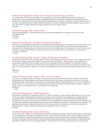# Pastoral Theology 845. Introduction to Pastoral Counseling II. Seminar.

An examination of the basic principles of counseling for couples and families including the concepts of homeostasis, fusion, triangles, boundaries, and differentiation of a self. Basic listening and attending skills are practiced in small groups and role plays looking to applications in couples counseling. A seven session format for couples counseling using the Imago model is presented and skills for implementing the program are practiced. Text: Short Term Couples Therapy the Imago Model in Action by Wade Luquet. 3 Credits.

#### Pastoral Theology 848. Priestly Duties.

Pastoral responsibilities. A broad review of the practical responsibilities of a General Church of the New Jerusalem pastor.

Workshop. 1 Credit.

#### Pastoral Theology 851. Liturgics: Doctrinal Foundations.

Introductory course exploring the doctrinal underpinnings of traditional and contemporary General Church of the New Jerusalem (GCNJ) ritual. The focus is on how and why the GCNJ office came into being, exploring the development of liturgical practice in the New Church from its earliest days to the present. Focus of study will be in the issues of external and internal worship, the role of ritual in worship, the house or place of worship with its symbolism. Workshop.

1 Credit.

# Pastoral Theology 852. Liturgics: Orders of Services for Worship.

A practical course on constructing an order of service, examining the place and use of music, singing, the letter of the Word, prayer, lessons, the children's talk, sermon and benediction. There will be a major emphasis on developing a familiarity with the liturgy and practice of leading worship according to the standard General Offices, as well as contemporary, informal and home settings. The aim of this course is to prepare students to be able to comfortably lead a service in a variety of settings before their Candidate experience requires them to do so.

Workshop. 1 Credit.

# Pastoral Theology 853. Liturgics: Rites and Sacraments.

Conclusion of liturgical studies. A review of the doctrines associated with liturgics with additional study of the doctrines around the sacraments and rites of the New Church and their incorporation into services, or as freestanding services. Examination of variations from the General Offices in liturgical practice, to accommodate the tastes of New Church members while maintaining the integrity of doctrinal understanding of liturgics. Design of orders of service and practice are a central part of this workshop. Workshop.

1 Credit.

# Pastoral Theology 860. Conflict Resolution.

Examination of methods of resolving conflicts in a variety of settings. Communication skills based on New Church doctrines (angels settling disputes), and best practices in human resource management and organizational psychology. Each of the specific communication skills will be analyzed in terms of the levels of effectiveness: Excellent, Good, Sub-par (too passive) and Destructive (too aggressive). Conflict resolution include methods such as agreeing to disagree, presenting the tough issue, discovering other viewpoints, remaining firm but friendly, and repairing the damage. Students will practice until they demonstrate competence at the level of Excellence. Attention given to basic mediation training skills as needed by pastors. Seminar. 3 Credits.

# Practical Theology 862. Group Dynamics.

Analysis of human behavior in group settings that pastors experience: boards, spiritual growth groups, committees and congregations. Synthesis of concepts from New Church doctrine (leaders, useful communities, charity) and secular social psychology about individuals in group settings. The typical dynamics during the stages of group formation: forming, norming, storming, conforming and performing of groups. Various patterns of leadership and the different effects they have on group behavior. Attention given to social loafing, group-think, cooperation,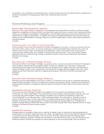competition, trust, polarization and deindividuation. Students will practice until they demonstrate competence at the level of Excellence in leading groups effectively, during role plays. Seminar. 3 Credits.

# <span id="page-56-0"></span>Pastoral Workshops and Program

#### Business 864. Pastoral Business. Seminar.

The focus of this course will be an exploration of management and administrative activities, societal and legal obligations, budgeting and financial affairs, volunteer and employment issues, outreach and marketing functions, mission accountability, responsibilities to stakeholders, fund and friend raising, plus community relations from the perspective of a religious organization. In addition, the course will explore operational and long term planning along with the implementation of strategic initiatives to fulfill the organization's mission while improving efficiency and effectiveness.

3 Credits.

# Communication 716. Topics in Communication.

Communication is one of the most important activities we engage in as humans. It is how we connect with the Lord, each other, and our world. As a pastor, learning to communicate effectively is essential. This course will explore communication topics and their practical application. Topics will include the role of persuasion in communication, listening skills, and available communication tools for pastors. The course will also address leadership and how to lead through change. A significant portion of the course will deal with structuring an effective oral message.

3 Credits.

# Education 631. Institutional Design. Seminar.

Instructional Methods and Design for Religion is a seminar survey course on educational methods for theological school students. Students are encouraged to reflect on their own experiences in education, analyze best teaching practices in light of the Heavenly Doctrine and develop ways to apply what they have learned in a variety of settings. Students work cooperatively and individually to design effective religious instruction. When designing instruction emphasis is placed on aligning learning goals, instructional methods and assessment practices.

3 Credits.

#### Education 634. Institutional Design. Workshop.

Delivering and Managing Religious Instruction is a series of 10 workshop that focuses on supporting theological students while they apply in at least two setting the concepts they learned in Ed 631. Students are introduced to beginning level classroom management skills and asked to evaluate the skills in light of the Heavenly Doctrine. 1 Credit.

#### Experiential Learning. Workshop

First and Second year theological students are assigned to 3 hours/week to pre-professional roles in the community or a church organization. They assist pastors and lay leaders in serving people in specific uses, and connecting with all the people in these settings in excellent ways. Students are assessed on these nine "Connecting Skills" by on site supervisors: 1) Demonstrating interest in the other person, 2) Finding common ground, 3) Showing respect for the other person, 4) Assessing if there are any needs, 5) Offering services, if needed, 6) Sharing humor (appropriately), 7) Dealing with barriers, 8) Valuing differences, 9) Building trust. Students change settings at least three times a year so they learn through their various experiences how to apply theology to the practical side of being a pastor. 3 Credits.

#### Experiential Learning:

Theologs spend an average of three hours a week for 30 weeks a year, in their Service Learning Assignments. Usually there is a change in assignment every ten weeks. The assignments involve interacting with people as aides to ordained and non-ordained leaders in this community. All of the assignments give the theologs direct experience relating to people in settings that are similar to what they will encounter, once they themselves are ordained ministers. Students are assessed by onsite supervisors on nine connecting skills. They are rated as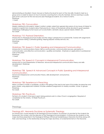demonstrating an Excellent, Good, Sub-par or Destructive level for each of the nine skills. Students meet as a group once a week for about an hour to receive coaching from a faculty member. Service Learning is usually part of the curriculum for first and second year theological students, for a total of 6 terms. Workshop.

1 Credit.

# Workshop 700. Convocation.

Weekly meeting for all students. Subject matter is widely varied from general discussions of any issues of interest to students to reports from students about their practicum. Many of the periods will be devoted to guest speakers addressing challenging human issues such as alcoholism, domestic abuse, special needs children, etc. No Credit.

#### Workshop 710. Pastoral Orientation.

Introduction to Theological School studies and the clergy's perspective on pastoral life. Tutorial with assignments such as pastoral visiting, Cathedral guiding, helping prepare worship services, etc. Workshop.

1 Credit.

# Workshop 720. Speech I: Public Speaking and Interpersonal Communication.

Introduction to communications theory: Self as communicator, communication process, perception in communication, and effective communication—qualities and barriers. Emphasis on applications to professional work of the priest. Workshop.

1 Credit.

# Workshop 724. Speech II: Concepts in Interpersonal Communication.

Introduction to oral interpretation of literature. Advanced interpersonal communication theory and skills development. Workshop.

1 Credit.

# Workshop 728. Speech III: Advanced Concepts in Public Speaking and Interpersonal Communication.

Advanced interpersonal communication theory, skills development, and practice. Workshop. 1 Credit.

# Workshop 738. Experience in Preaching.

When a student is made a candidate, usually in the spring of the next-to-last year of his studies; he preaches and gives classes, using approved material. Includes weekend assignments to nearby societies, circles, or groups. Workshop. No Credit.

# Workshop 750. Practicum.

Fall term of a student's final year is spent doing pastoral work in a New Church congregation. Required of candidates for the ministry. 10 Week Practicum. No Credit.

<span id="page-57-0"></span>**Theology** 

# Theology 601. Heavenly Doctrines as Systematic Theology.

An introductory course required of all Theological School students. Its purpose is to provide for the students the framework, the context, and the direction of the Theological School program. It introduces the students to the major doctrines presented in the theological Writings of Emanuel Swedenborg or Heavenly Doctrines along with their core teachings, to the relationship among the major doctrines, to fundamental terms in the Heavenly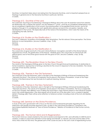Doctrines, to important ideas about and arising from the Heavenly Doctrines, and to important perspectives on theology in general and on the Heavenly Doctrines in particular. Seminar. 3 Credits.

# Theology 612. Doctrine of the Lord.

The systematic teachings of Swedenborg's theological Writings about the Lord: His essential nature from eternity; His relationship with us before the advent; why He needed to "come"; what He accomplished (redemption); how He accomplished it (glorification of His human); the enduring effect of the glorified Divine Human, and of His presence through it. In considering the Lord's glorification process we look at His conception, heredity, and development in the human. We especially look at the nature of His temptations, which were the means of His subjugating the hells. Seminar.

3 Credits.

# Theology 614. Studies on the Glorification: I.

The Lord's childhood. Acquisition of knowledge. Early temptations. The first rational. Divine perception. The Divine Rational. In-most temptations. (Arcana Coelestia, chap. 12-22). Seminar.

3 Credits.

# Theology 616. Studies on the Glorification: II.

The conjunction of good and truth in the Lord's Divine Rational. Conception and birth of the Divine Natural. Appearances of truth. The glorification of the Natural. Mediate good. The conjunction of natural truth with spiritual good, and of the Divine good natural with the good of truth. (Arcana Coelestia, chap. 23-33). Seminar.

3 Credits.

# Theology 620. The Revelation Given to the New Church.

The nature of the theological Writings given to the New Church through Emanuel Swedenborg. Its relationship to former revelations. Approaches to forming a doctrine for the church in response to the new revelation. The nature and role of that doctrine. Seminar. 3 Credits.

# Theology 626. Themes in the Old Testament.

The character of the Old Testament, seen in the light of the theological Writings of Emanuel Swedenborg (the "Heavenly Doctrine"). The nature of its inspiration and its place in the history of revelation. A look at the major themes in the literal sense that are the basis for its spiritual meaning. Seminar. 3 Credits.

# Theology 628. Themes in the New Testament.

The character of the New Testament, seen in the light of the theological Writings of Emanuel Swedenborg (the "Heavenly Doctrine"). The nature of its inspiration and its place in the history of revelation. The focus is especially on the Four Gospels: their different ways of telling the Good News; major themes present in the individual Gospels and in the overall dispensation. (The Apocalypse will not be left out of this discussion, but is covered in greater detail in Theology 668.) There will be some attention to historical context, including a look at the Acts and Epistles. Seminar.

3 Credits.

# Theology 640. Seminar on the Divine Providence.

A study of the Lord's government with a focus on the laws and fundamental principles regulating the His interaction with people and their response to Him, as seen in the work Divine Providence. Comparison with Apocalypse Explained treatment of "laws of Divine Providence." Relation of Providence to free human activity. Seminar.

3 Credits.

# Theology 642. The Human Mind and its Regeneration.

The human mind as a vessel created by the Lord to receive and respond to Him, and ultimately to fulfill His end in creation: a state of conjunction between human beings and Himself, i.e. heaven. Structure and faculties of the mind, influx of life into the mind. The greater part of the course focuses on the Lord's work of regenerating human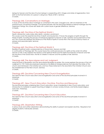beings for heaven and the role of human beings in cooperating with it. Stages and states of regeneration, from birth to the final formation of a person's ruling love ("Book of life"). Seminar. 3 Credits.

# Theology 646. Conversations on Marriage.

A study of the doctrines about marriage as contained in the work, Conjugial Love, with an emphasis on the pastoral issues concerning marriage. Concerned primarily with the teachings related to eternal marriage and the happiness it brings, this course also deals with current issues of gender difference. Seminar. 3 Credits.

# Theology 660. Doctrine of the Spiritual World: I.

Death, resurrection, early states after death, vastation, punishment.

This course covers the essential doctrine of death and resurrection. It traces the progress of spirits through the World of Spirits, including the process of individual judgment to heaven or hell, vastation and punishments of the evil. The course also explores the influence of the World of Spirits in human life in the natural world by means of spheres and associate spirits. Seminar.

3 Credits.

# Theology 662. Doctrine of the Spiritual World: II.

Realities of spiritual world, correspondences of Grand Man, Heaven and Hell.

A continuation of Theology 660. This course traces the continued process of a spirits as they enter into either heaven or hell. It also explores the divisions of the Spiritual World and the distinctive features of heaven and hell, the doctrine of the Grand Man, the life of children in heaven and the qualities of hell. Seminar. 3 Credits.

# Theology 668. The Apocalypse and Last Judgment.

Using the book of Revelation and the Apocalypse Revealed as guides, this course explores the process of the Last Judgment in 1757. Particular emphasis is placed on the Biblical correspondences that describe the states of the church and individuals in the Christian era, and how these states led to the downfall of the Christian Church and the establishment of the New Church. Seminar. 3 Credits.

# Theology 690. Doctrine Concerning New Church Evangelization.

The need for New Church education and evangelization and some of the doctrinal principles involved in it. Workshop.

3 Credits.

#### Theology 691. New Church Education: Doctrine, Practice and Resources

The doctrinal principles underlying New Church education, issues in leadership in New Church education, and introduction to materials to support teaching of religion in schools, Sunday Schools, and family-based religious instruction. Workshop.

2 Credits.

# Theology 691. Doctrine Concerning New Church Education.

The need for New Church education and evangelization and some of the doctrinal principles involved in it. Workshop.

3 Credits.

# Theology 695. Dissertation Writing.

A serious study and written dissertation demonstrating the ability to present and explain doctrine. Required of all degree students. Individually advised. 3 Credits.